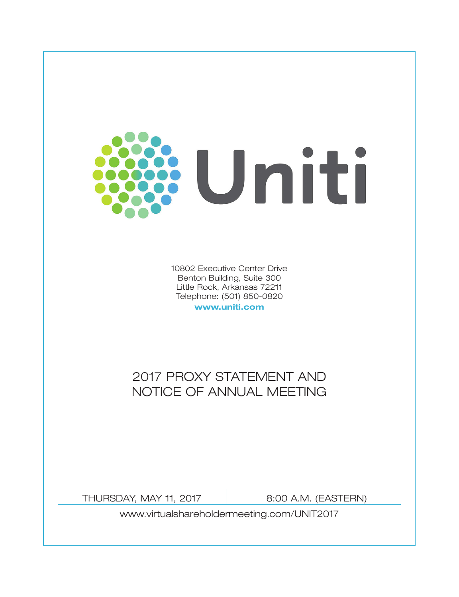

10802 Executive Center Drive Benton Building, Suite 300 Little Rock, Arkansas 72211 Telephone: (501) 850-0820 **www.uniti.com**

# 2017 PROXY STATEMENT AND NOTICE OF ANNUAL MEETING

THURSDAY, MAY 11, 2017 | 8:00 A.M. (EASTERN)

www.virtualshareholdermeeting.com/UNIT2017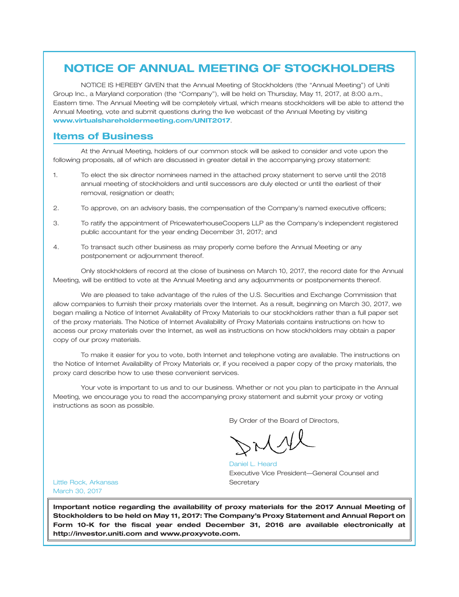# **NOTICE OF ANNUAL MEETING OF STOCKHOLDERS**

NOTICE IS HEREBY GIVEN that the Annual Meeting of Stockholders (the ''Annual Meeting'') of Uniti Group Inc., a Maryland corporation (the ''Company''), will be held on Thursday, May 11, 2017, at 8:00 a.m., Eastern time. The Annual Meeting will be completely virtual, which means stockholders will be able to attend the Annual Meeting, vote and submit questions during the live webcast of the Annual Meeting by visiting . **www.virtualshareholdermeeting.com/UNIT2017**

# **Items of Business**

At the Annual Meeting, holders of our common stock will be asked to consider and vote upon the following proposals, all of which are discussed in greater detail in the accompanying proxy statement:

- 1. To elect the six director nominees named in the attached proxy statement to serve until the 2018 annual meeting of stockholders and until successors are duly elected or until the earliest of their removal, resignation or death;
- 2. To approve, on an advisory basis, the compensation of the Company's named executive officers;
- 3. To ratify the appointment of PricewaterhouseCoopers LLP as the Company's independent registered public accountant for the year ending December 31, 2017; and
- 4. To transact such other business as may properly come before the Annual Meeting or any postponement or adjournment thereof.

Only stockholders of record at the close of business on March 10, 2017, the record date for the Annual Meeting, will be entitled to vote at the Annual Meeting and any adjournments or postponements thereof.

We are pleased to take advantage of the rules of the U.S. Securities and Exchange Commission that allow companies to furnish their proxy materials over the Internet. As a result, beginning on March 30, 2017, we began mailing a Notice of Internet Availability of Proxy Materials to our stockholders rather than a full paper set of the proxy materials. The Notice of Internet Availability of Proxy Materials contains instructions on how to access our proxy materials over the Internet, as well as instructions on how stockholders may obtain a paper copy of our proxy materials.

To make it easier for you to vote, both Internet and telephone voting are available. The instructions on the Notice of Internet Availability of Proxy Materials or, if you received a paper copy of the proxy materials, the proxy card describe how to use these convenient services.

Your vote is important to us and to our business. Whether or not you plan to participate in the Annual Meeting, we encourage you to read the accompanying proxy statement and submit your proxy or voting instructions as soon as possible.

By Order of the Board of Directors,

Executive Vice President—General Counsel and **Secretary** Daniel L. Heard

Little Rock, Arkansas March 30, 2017

**Important notice regarding the availability of proxy materials for the 2017 Annual Meeting of Stockholders to be held on May 11, 2017: The Company's Proxy Statement and Annual Report on Form 10-K for the fiscal year ended December 31, 2016 are available electronically at http://investor.uniti.com and www.proxyvote.com.**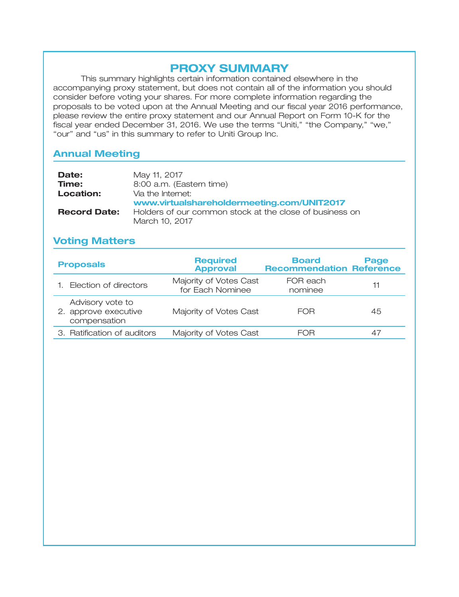# **PROXY SUMMARY**

This summary highlights certain information contained elsewhere in the accompanying proxy statement, but does not contain all of the information you should consider before voting your shares. For more complete information regarding the proposals to be voted upon at the Annual Meeting and our fiscal year 2016 performance, please review the entire proxy statement and our Annual Report on Form 10-K for the fiscal year ended December 31, 2016. We use the terms "Uniti," "the Company," "we," "our" and "us" in this summary to refer to Uniti Group Inc.

# **Annual Meeting**

| Date:               |                                                         |
|---------------------|---------------------------------------------------------|
|                     | May 11, 2017                                            |
| Time:               | 8:00 a.m. (Eastern time)                                |
| <b>Location:</b>    | Via the Internet:                                       |
|                     | www.virtualshareholdermeeting.com/UNIT2017              |
| <b>Record Date:</b> | Holders of our common stock at the close of business on |
|                     | March 10, 2017                                          |

# **Voting Matters**

| <b>Proposals</b>                                         | <b>Required</b><br><b>Approval</b>         | <b>Board</b><br><b>Recommendation Reference</b> | Page |
|----------------------------------------------------------|--------------------------------------------|-------------------------------------------------|------|
| 1. Election of directors                                 | Majority of Votes Cast<br>for Each Nominee | FOR each<br>nominee                             | 11   |
| Advisory vote to<br>2. approve executive<br>compensation | Majority of Votes Cast                     | FOR                                             | 45   |
| 3. Ratification of auditors                              | Majority of Votes Cast                     | FOR                                             | 47   |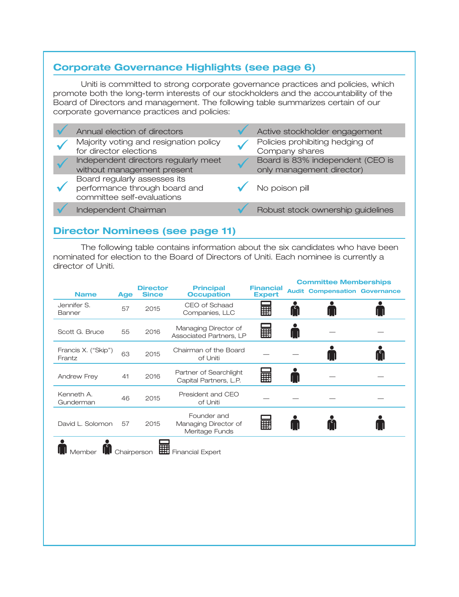# **Corporate Governance Highlights (see page 6)**

Uniti is committed to strong corporate governance practices and policies, which promote both the long-term interests of our stockholders and the accountability of the Board of Directors and management. The following table summarizes certain of our corporate governance practices and policies:

|  | Annual election of directors                                                                | Active stockholder engagement                                 |
|--|---------------------------------------------------------------------------------------------|---------------------------------------------------------------|
|  | Majority voting and resignation policy<br>for director elections                            | Policies prohibiting hedging of<br>Company shares             |
|  | Independent directors regularly meet<br>without management present                          | Board is 83% independent (CEO is<br>only management director) |
|  | Board regularly assesses its<br>performance through board and<br>committee self-evaluations | No poison pill                                                |
|  | Independent Chairman                                                                        | Robust stock ownership guidelines                             |

# **Director Nominees (see page 11)**

The following table contains information about the six candidates who have been nominated for election to the Board of Directors of Uniti. Each nominee is currently a director of Uniti.

|                               |     |                                 |                                                       |                                   |   | <b>Committee Memberships</b>         |  |
|-------------------------------|-----|---------------------------------|-------------------------------------------------------|-----------------------------------|---|--------------------------------------|--|
| <b>Name</b>                   | Age | <b>Director</b><br><b>Since</b> | <b>Principal</b><br><b>Occupation</b>                 | <b>Financial</b><br><b>Expert</b> |   | <b>Audit Compensation Governance</b> |  |
| Jennifer S.<br>Banner         | 57  | 2015                            | CEO of Schaad<br>Companies, LLC                       | E                                 | n |                                      |  |
| Scott G. Bruce                | 55  | 2016                            | Managing Director of<br>Associated Partners, LP       | <b>HE</b>                         |   |                                      |  |
| Francis X. ("Skip")<br>Frantz | 63  | 2015                            | Chairman of the Board<br>of Uniti                     |                                   |   |                                      |  |
| <b>Andrew Frey</b>            | 41  | 2016                            | Partner of Searchlight<br>Capital Partners, L.P.      | <b>HE</b>                         |   |                                      |  |
| Kenneth A.<br>Gunderman       | 46  | 2015                            | President and CEO<br>of Uniti                         |                                   |   |                                      |  |
| David L. Solomon              | 57  | 2015                            | Founder and<br>Managing Director of<br>Meritage Funds | <b>HE</b>                         |   |                                      |  |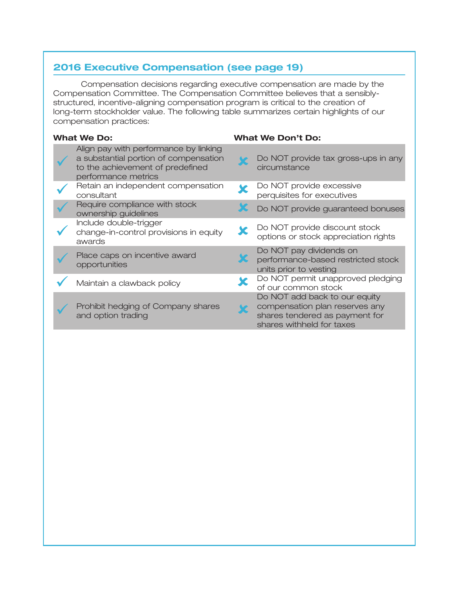# **2016 Executive Compensation (see page 19)**

Compensation decisions regarding executive compensation are made by the Compensation Committee. The Compensation Committee believes that a sensiblystructured, incentive-aligning compensation program is critical to the creation of long-term stockholder value. The following table summarizes certain highlights of our compensation practices:

| <b>What We Do:</b>                                                                                                                        | <b>What We Don't Do:</b>                                                                                                       |
|-------------------------------------------------------------------------------------------------------------------------------------------|--------------------------------------------------------------------------------------------------------------------------------|
| Align pay with performance by linking<br>a substantial portion of compensation<br>to the achievement of predefined<br>performance metrics | Do NOT provide tax gross-ups in any<br>circumstance                                                                            |
| Retain an independent compensation<br>consultant                                                                                          | Do NOT provide excessive<br>perquisites for executives                                                                         |
| Require compliance with stock<br>ownership guidelines                                                                                     | Do NOT provide guaranteed bonuses                                                                                              |
| Include double-trigger<br>change-in-control provisions in equity<br>awards                                                                | Do NOT provide discount stock<br>options or stock appreciation rights                                                          |
| Place caps on incentive award<br>opportunities                                                                                            | Do NOT pay dividends on<br>performance-based restricted stock<br>units prior to vesting                                        |
| Maintain a clawback policy                                                                                                                | Do NOT permit unapproved pledging<br>of our common stock                                                                       |
| Prohibit hedging of Company shares<br>and option trading                                                                                  | Do NOT add back to our equity<br>compensation plan reserves any<br>shares tendered as payment for<br>shares withheld for taxes |
|                                                                                                                                           |                                                                                                                                |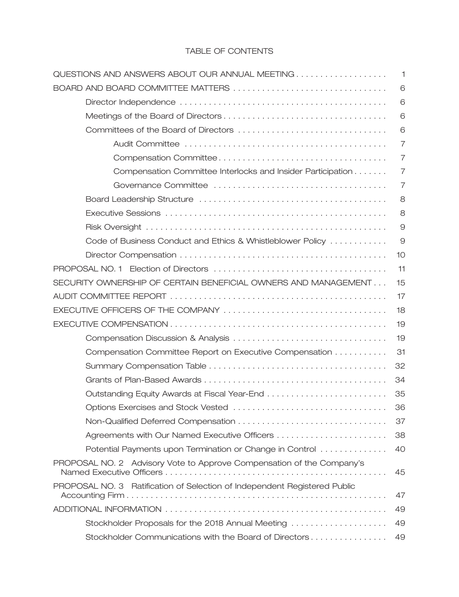# TABLE OF CONTENTS

| QUESTIONS AND ANSWERS ABOUT OUR ANNUAL MEETING                            | $\mathbf{1}$   |
|---------------------------------------------------------------------------|----------------|
| BOARD AND BOARD COMMITTEE MATTERS                                         | 6              |
|                                                                           | 6              |
|                                                                           | 6              |
|                                                                           | 6              |
|                                                                           | $\overline{7}$ |
|                                                                           | 7              |
| Compensation Committee Interlocks and Insider Participation               | 7              |
|                                                                           | 7              |
|                                                                           | 8              |
|                                                                           | 8              |
|                                                                           | $\Theta$       |
| Code of Business Conduct and Ethics & Whistleblower Policy                | $\Theta$       |
|                                                                           | 10             |
|                                                                           | 11             |
| SECURITY OWNERSHIP OF CERTAIN BENEFICIAL OWNERS AND MANAGEMENT            | 15             |
|                                                                           | 17             |
|                                                                           | 18             |
|                                                                           | 19             |
|                                                                           | 19             |
| Compensation Committee Report on Executive Compensation                   | 31             |
|                                                                           | 32             |
|                                                                           | 34             |
| Outstanding Equity Awards at Fiscal Year-End                              | 35             |
|                                                                           | 36             |
|                                                                           | 37             |
|                                                                           | 38             |
| Potential Payments upon Termination or Change in Control                  | 40             |
| PROPOSAL NO. 2 Advisory Vote to Approve Compensation of the Company's     | 45             |
| PROPOSAL NO. 3 Ratification of Selection of Independent Registered Public | 47             |
|                                                                           | 49             |
| Stockholder Proposals for the 2018 Annual Meeting                         | 49             |
| Stockholder Communications with the Board of Directors                    | 49             |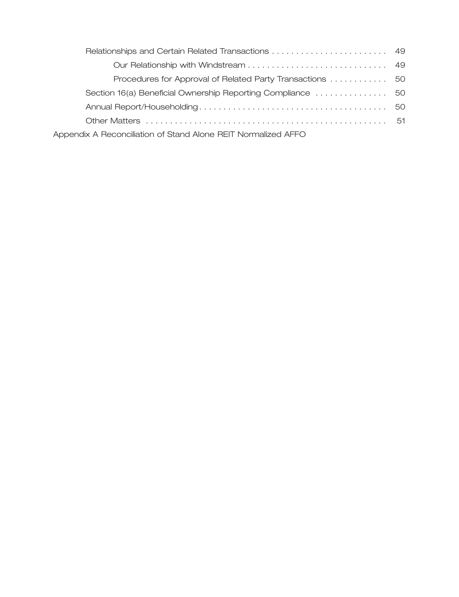| Procedures for Approval of Related Party Transactions 50      |  |
|---------------------------------------------------------------|--|
|                                                               |  |
|                                                               |  |
|                                                               |  |
| Appendix A Reconciliation of Stand Alone REIT Normalized AFFO |  |
|                                                               |  |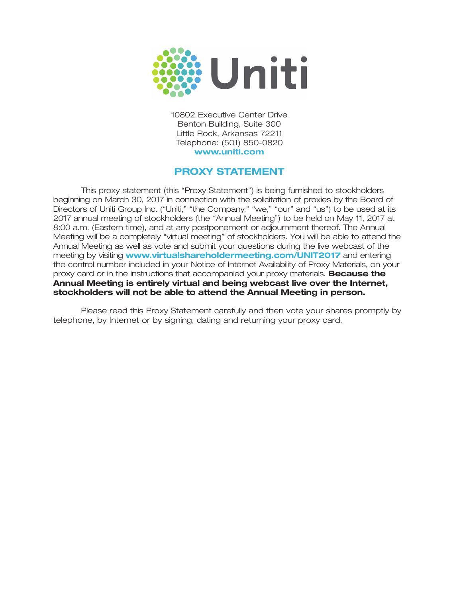

10802 Executive Center Drive Benton Building, Suite 300 Little Rock, Arkansas 72211 Telephone: (501) 850-0820 **www.uniti.com**

# **PROXY STATEMENT**

This proxy statement (this "Proxy Statement") is being furnished to stockholders beginning on March 30, 2017 in connection with the solicitation of proxies by the Board of Directors of Uniti Group Inc. ("Uniti," "the Company," "we," "our" and "us") to be used at its 2017 annual meeting of stockholders (the ''Annual Meeting'') to be held on May 11, 2017 at 8:00 a.m. (Eastern time), and at any postponement or adjournment thereof. The Annual Meeting will be a completely ''virtual meeting'' of stockholders. You will be able to attend the Annual Meeting as well as vote and submit your questions during the live webcast of the meeting by visiting **www.virtualshareholdermeeting.com/UNIT2017** and entering the control number included in your Notice of Internet Availability of Proxy Materials, on your proxy card or in the instructions that accompanied your proxy materials. **Because the Annual Meeting is entirely virtual and being webcast live over the Internet, stockholders will not be able to attend the Annual Meeting in person.**

Please read this Proxy Statement carefully and then vote your shares promptly by telephone, by Internet or by signing, dating and returning your proxy card.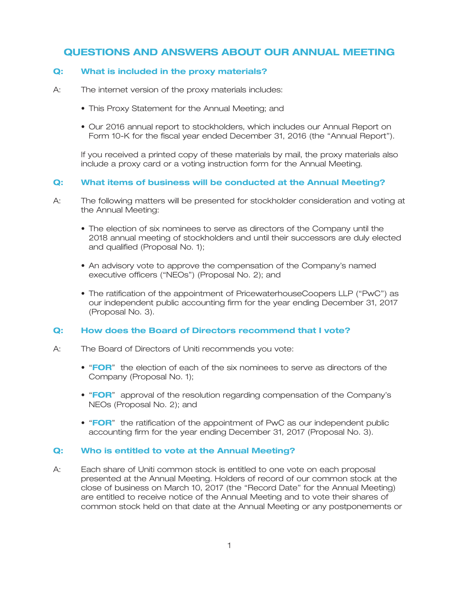# **QUESTIONS AND ANSWERS ABOUT OUR ANNUAL MEETING**

# **Q: What is included in the proxy materials?**

- A: The internet version of the proxy materials includes:
	- This Proxy Statement for the Annual Meeting; and
	- Our 2016 annual report to stockholders, which includes our Annual Report on Form 10-K for the fiscal year ended December 31, 2016 (the "Annual Report").

If you received a printed copy of these materials by mail, the proxy materials also include a proxy card or a voting instruction form for the Annual Meeting.

# **Q: What items of business will be conducted at the Annual Meeting?**

- A: The following matters will be presented for stockholder consideration and voting at the Annual Meeting:
	- The election of six nominees to serve as directors of the Company until the 2018 annual meeting of stockholders and until their successors are duly elected and qualified (Proposal No. 1);
	- An advisory vote to approve the compensation of the Company's named executive officers ("NEOs") (Proposal No. 2); and
	- The ratification of the appointment of PricewaterhouseCoopers LLP (''PwC'') as our independent public accounting firm for the year ending December 31, 2017 (Proposal No. 3).

# **Q: How does the Board of Directors recommend that I vote?**

- A: The Board of Directors of Uniti recommends you vote:
	- "FOR" the election of each of the six nominees to serve as directors of the Company (Proposal No. 1);
	- "FOR" approval of the resolution regarding compensation of the Company's NEOs (Proposal No. 2); and
	- "FOR" the ratification of the appointment of PwC as our independent public accounting firm for the year ending December 31, 2017 (Proposal No. 3).

#### **Q: Who is entitled to vote at the Annual Meeting?**

A: Each share of Uniti common stock is entitled to one vote on each proposal presented at the Annual Meeting. Holders of record of our common stock at the close of business on March 10, 2017 (the ''Record Date'' for the Annual Meeting) are entitled to receive notice of the Annual Meeting and to vote their shares of common stock held on that date at the Annual Meeting or any postponements or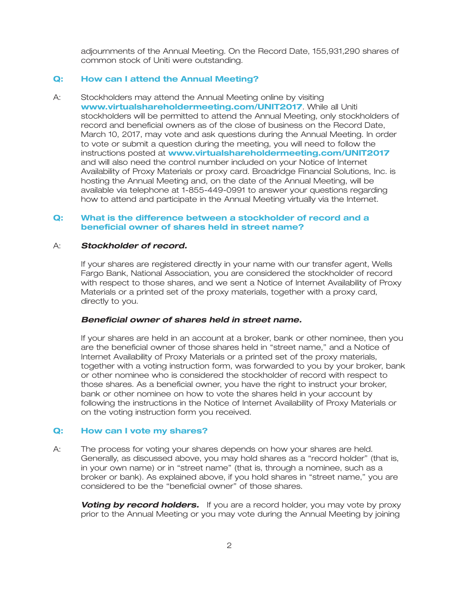adjournments of the Annual Meeting. On the Record Date, 155,931,290 shares of common stock of Uniti were outstanding.

# **Q: How can I attend the Annual Meeting?**

A: Stockholders may attend the Annual Meeting online by visiting www.virtualshareholdermeeting.com/UNIT2017. While all Uniti stockholders will be permitted to attend the Annual Meeting, only stockholders of record and beneficial owners as of the close of business on the Record Date, March 10, 2017, may vote and ask questions during the Annual Meeting. In order to vote or submit a question during the meeting, you will need to follow the instructions posted at **www.virtualshareholdermeeting.com/UNIT2017** and will also need the control number included on your Notice of Internet Availability of Proxy Materials or proxy card. Broadridge Financial Solutions, Inc. is hosting the Annual Meeting and, on the date of the Annual Meeting, will be available via telephone at 1-855-449-0991 to answer your questions regarding how to attend and participate in the Annual Meeting virtually via the Internet.

# **Q: What is the difference between a stockholder of record and a beneficial owner of shares held in street name?**

## A: *Stockholder of record.*

If your shares are registered directly in your name with our transfer agent, Wells Fargo Bank, National Association, you are considered the stockholder of record with respect to those shares, and we sent a Notice of Internet Availability of Proxy Materials or a printed set of the proxy materials, together with a proxy card, directly to you.

#### *Beneficial owner of shares held in street name.*

If your shares are held in an account at a broker, bank or other nominee, then you are the beneficial owner of those shares held in ''street name,'' and a Notice of Internet Availability of Proxy Materials or a printed set of the proxy materials, together with a voting instruction form, was forwarded to you by your broker, bank or other nominee who is considered the stockholder of record with respect to those shares. As a beneficial owner, you have the right to instruct your broker, bank or other nominee on how to vote the shares held in your account by following the instructions in the Notice of Internet Availability of Proxy Materials or on the voting instruction form you received.

# **Q: How can I vote my shares?**

A: The process for voting your shares depends on how your shares are held. Generally, as discussed above, you may hold shares as a ''record holder'' (that is, in your own name) or in ''street name'' (that is, through a nominee, such as a broker or bank). As explained above, if you hold shares in ''street name,'' you are considered to be the ''beneficial owner'' of those shares.

**Voting by record holders.** If you are a record holder, you may vote by proxy prior to the Annual Meeting or you may vote during the Annual Meeting by joining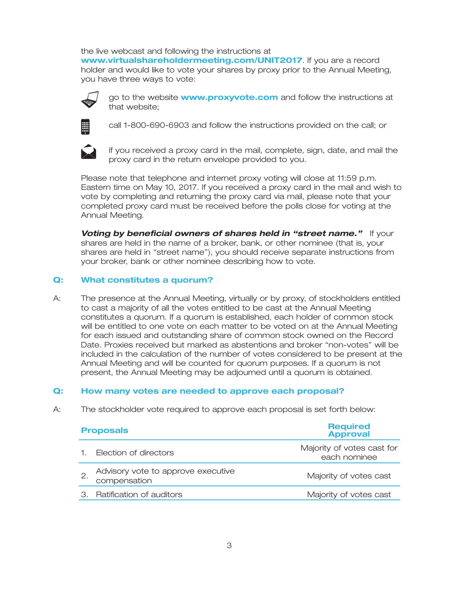the live webcast and following the instructions at

www.virtualshareholdermeeting.com/UNIT2017. If you are a record holder and would like to vote your shares by proxy prior to the Annual Meeting, you have three ways to vote:



go to the website **www.proxyvote.com** and follow the instructions at that website;



call 1-800-690-6903 and follow the instructions provided on the call; or



if you received a proxy card in the mail, complete, sign, date, and mail the proxy card in the return envelope provided to you.

Please note that telephone and internet proxy voting will close at 11:59 p.m. Eastern time on May 10, 2017. If you received a proxy card in the mail and wish to vote by completing and returning the proxy card via mail, please note that your completed proxy card must be received before the polls close for voting at the Annual Meeting.

**Voting by beneficial owners of shares held in "street name."** If your shares are held in the name of a broker, bank, or other nominee (that is, your shares are held in ''street name''), you should receive separate instructions from your broker, bank or other nominee describing how to vote.

# **Q: What constitutes a quorum?**

A: The presence at the Annual Meeting, virtually or by proxy, of stockholders entitled to cast a majority of all the votes entitled to be cast at the Annual Meeting constitutes a quorum. If a quorum is established, each holder of common stock will be entitled to one vote on each matter to be voted on at the Annual Meeting for each issued and outstanding share of common stock owned on the Record Date. Proxies received but marked as abstentions and broker ''non-votes'' will be included in the calculation of the number of votes considered to be present at the Annual Meeting and will be counted for quorum purposes. If a quorum is not present, the Annual Meeting may be adjourned until a quorum is obtained.

# **Q: How many votes are needed to approve each proposal?**

A: The stockholder vote required to approve each proposal is set forth below:

|    | <b>Proposals</b>                                   | <b>Required</b><br><b>Approval</b>         |
|----|----------------------------------------------------|--------------------------------------------|
|    | Election of directors                              | Majority of votes cast for<br>each nominee |
| 2. | Advisory vote to approve executive<br>compensation | Majority of votes cast                     |
|    | 3. Ratification of auditors                        | Majority of votes cast                     |
|    |                                                    |                                            |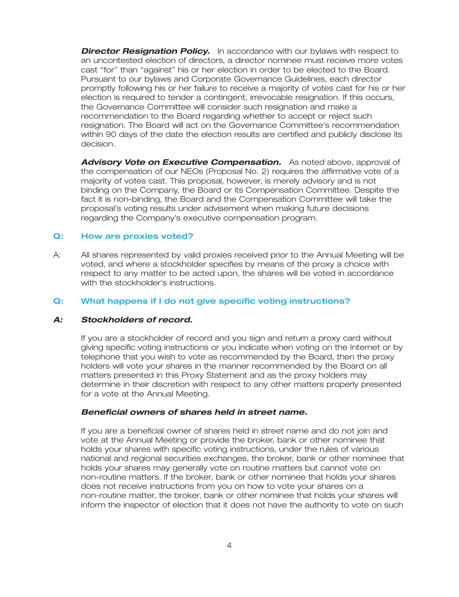**Director Resignation Policy.** In accordance with our bylaws with respect to an uncontested election of directors, a director nominee must receive more votes cast ''for'' than ''against'' his or her election in order to be elected to the Board. Pursuant to our bylaws and Corporate Governance Guidelines, each director promptly following his or her failure to receive a majority of votes cast for his or her election is required to tender a contingent, irrevocable resignation. If this occurs, the Governance Committee will consider such resignation and make a recommendation to the Board regarding whether to accept or reject such resignation. The Board will act on the Governance Committee's recommendation within 90 days of the date the election results are certified and publicly disclose its decision.

*Advisory Vote on Executive Compensation.* As noted above, approval of the compensation of our NEOs (Proposal No. 2) requires the affirmative vote of a majority of votes cast. This proposal, however, is merely advisory and is not binding on the Company, the Board or its Compensation Committee. Despite the fact it is non-binding, the Board and the Compensation Committee will take the proposal's voting results under advisement when making future decisions regarding the Company's executive compensation program.

#### **Q: How are proxies voted?**

A: All shares represented by valid proxies received prior to the Annual Meeting will be voted, and where a stockholder specifies by means of the proxy a choice with respect to any matter to be acted upon, the shares will be voted in accordance with the stockholder's instructions.

# **Q: What happens if I do not give specific voting instructions?**

## *A: Stockholders of record.*

If you are a stockholder of record and you sign and return a proxy card without giving specific voting instructions or you indicate when voting on the Internet or by telephone that you wish to vote as recommended by the Board, then the proxy holders will vote your shares in the manner recommended by the Board on all matters presented in this Proxy Statement and as the proxy holders may determine in their discretion with respect to any other matters properly presented for a vote at the Annual Meeting.

#### *Beneficial owners of shares held in street name.*

If you are a beneficial owner of shares held in street name and do not join and vote at the Annual Meeting or provide the broker, bank or other nominee that holds your shares with specific voting instructions, under the rules of various national and regional securities exchanges, the broker, bank or other nominee that holds your shares may generally vote on routine matters but cannot vote on non-routine matters. If the broker, bank or other nominee that holds your shares does not receive instructions from you on how to vote your shares on a non-routine matter, the broker, bank or other nominee that holds your shares will inform the inspector of election that it does not have the authority to vote on such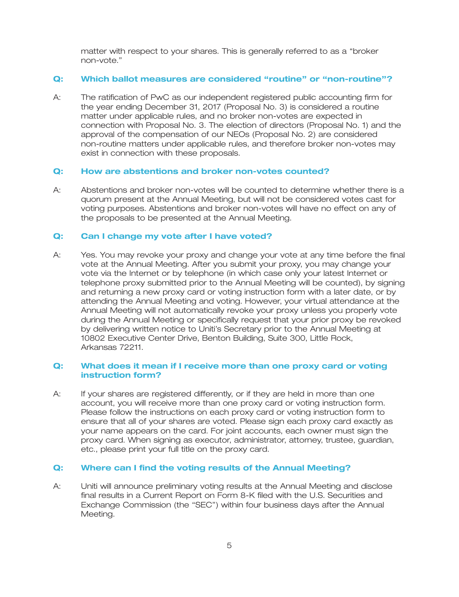matter with respect to your shares. This is generally referred to as a ''broker non-vote.''

# **Q: Which ballot measures are considered ''routine'' or ''non-routine''?**

A: The ratification of PwC as our independent registered public accounting firm for the year ending December 31, 2017 (Proposal No. 3) is considered a routine matter under applicable rules, and no broker non-votes are expected in connection with Proposal No. 3. The election of directors (Proposal No. 1) and the approval of the compensation of our NEOs (Proposal No. 2) are considered non-routine matters under applicable rules, and therefore broker non-votes may exist in connection with these proposals.

# **Q: How are abstentions and broker non-votes counted?**

A: Abstentions and broker non-votes will be counted to determine whether there is a quorum present at the Annual Meeting, but will not be considered votes cast for voting purposes. Abstentions and broker non-votes will have no effect on any of the proposals to be presented at the Annual Meeting.

# **Q: Can I change my vote after I have voted?**

A: Yes. You may revoke your proxy and change your vote at any time before the final vote at the Annual Meeting. After you submit your proxy, you may change your vote via the Internet or by telephone (in which case only your latest Internet or telephone proxy submitted prior to the Annual Meeting will be counted), by signing and returning a new proxy card or voting instruction form with a later date, or by attending the Annual Meeting and voting. However, your virtual attendance at the Annual Meeting will not automatically revoke your proxy unless you properly vote during the Annual Meeting or specifically request that your prior proxy be revoked by delivering written notice to Uniti's Secretary prior to the Annual Meeting at 10802 Executive Center Drive, Benton Building, Suite 300, Little Rock, Arkansas 72211.

# **Q: What does it mean if I receive more than one proxy card or voting instruction form?**

A: If your shares are registered differently, or if they are held in more than one account, you will receive more than one proxy card or voting instruction form. Please follow the instructions on each proxy card or voting instruction form to ensure that all of your shares are voted. Please sign each proxy card exactly as your name appears on the card. For joint accounts, each owner must sign the proxy card. When signing as executor, administrator, attorney, trustee, guardian, etc., please print your full title on the proxy card.

# **Q: Where can I find the voting results of the Annual Meeting?**

A: Uniti will announce preliminary voting results at the Annual Meeting and disclose final results in a Current Report on Form 8-K filed with the U.S. Securities and Exchange Commission (the ''SEC'') within four business days after the Annual Meeting.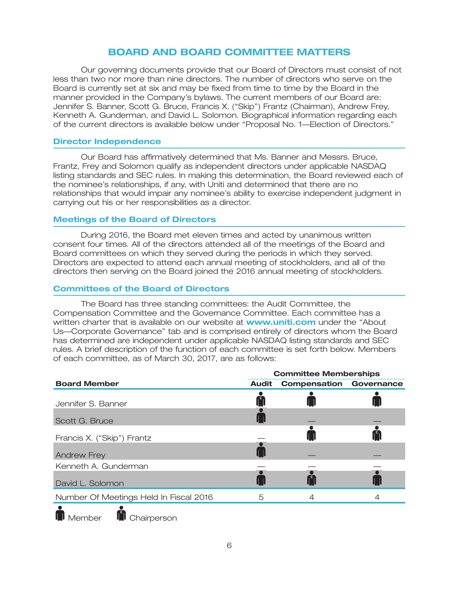# **BOARD AND BOARD COMMITTEE MATTERS**

Our governing documents provide that our Board of Directors must consist of not less than two nor more than nine directors. The number of directors who serve on the Board is currently set at six and may be fixed from time to time by the Board in the manner provided in the Company's bylaws. The current members of our Board are: Jennifer S. Banner, Scott G. Bruce, Francis X. (''Skip'') Frantz (Chairman), Andrew Frey, Kenneth A. Gunderman, and David L. Solomon. Biographical information regarding each of the current directors is available below under ''Proposal No. 1—Election of Directors.''

# **Director Independence**

Our Board has affirmatively determined that Ms. Banner and Messrs. Bruce, Frantz, Frey and Solomon qualify as independent directors under applicable NASDAQ listing standards and SEC rules. In making this determination, the Board reviewed each of the nominee's relationships, if any, with Uniti and determined that there are no relationships that would impair any nominee's ability to exercise independent judgment in carrying out his or her responsibilities as a director.

# **Meetings of the Board of Directors**

During 2016, the Board met eleven times and acted by unanimous written consent four times. All of the directors attended all of the meetings of the Board and Board committees on which they served during the periods in which they served. Directors are expected to attend each annual meeting of stockholders, and all of the directors then serving on the Board joined the 2016 annual meeting of stockholders.

# **Committees of the Board of Directors**

The Board has three standing committees: the Audit Committee, the Compensation Committee and the Governance Committee. Each committee has a written charter that is available on our website at **www.uniti.com** under the "About Us—Corporate Governance'' tab and is comprised entirely of directors whom the Board has determined are independent under applicable NASDAQ listing standards and SEC rules. A brief description of the function of each committee is set forth below. Members of each committee, as of March 30, 2017, are as follows:

|                                        | <b>Committee Memberships</b> |                                |  |  |  |
|----------------------------------------|------------------------------|--------------------------------|--|--|--|
| <b>Board Member</b>                    | <b>Audit</b>                 | <b>Compensation Governance</b> |  |  |  |
| Jennifer S. Banner                     |                              |                                |  |  |  |
| Scott G. Bruce                         |                              |                                |  |  |  |
| Francis X. ("Skip") Frantz             |                              |                                |  |  |  |
| <b>Andrew Frey</b>                     |                              |                                |  |  |  |
| Kenneth A. Gunderman                   |                              |                                |  |  |  |
| David L. Solomon                       |                              |                                |  |  |  |
| Number Of Meetings Held In Fiscal 2016 | 5                            |                                |  |  |  |
|                                        |                              |                                |  |  |  |

 $\blacksquare$  Member **M** Chairperson

6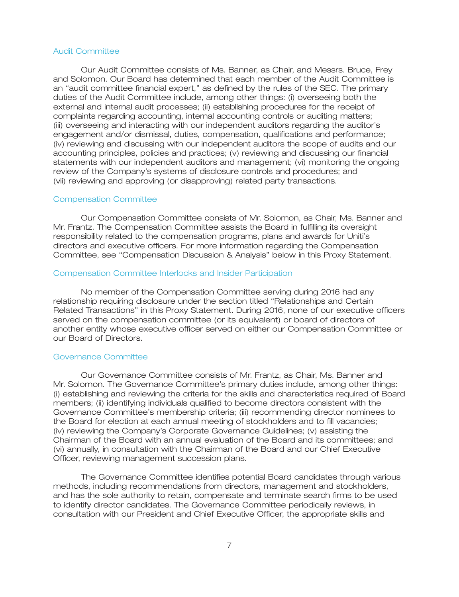#### Audit Committee

Our Audit Committee consists of Ms. Banner, as Chair, and Messrs. Bruce, Frey and Solomon. Our Board has determined that each member of the Audit Committee is an ''audit committee financial expert,'' as defined by the rules of the SEC. The primary duties of the Audit Committee include, among other things: (i) overseeing both the external and internal audit processes; (ii) establishing procedures for the receipt of complaints regarding accounting, internal accounting controls or auditing matters; (iii) overseeing and interacting with our independent auditors regarding the auditor's engagement and/or dismissal, duties, compensation, qualifications and performance; (iv) reviewing and discussing with our independent auditors the scope of audits and our accounting principles, policies and practices; (v) reviewing and discussing our financial statements with our independent auditors and management; (vi) monitoring the ongoing review of the Company's systems of disclosure controls and procedures; and (vii) reviewing and approving (or disapproving) related party transactions.

#### Compensation Committee

Our Compensation Committee consists of Mr. Solomon, as Chair, Ms. Banner and Mr. Frantz. The Compensation Committee assists the Board in fulfilling its oversight responsibility related to the compensation programs, plans and awards for Uniti's directors and executive officers. For more information regarding the Compensation Committee, see ''Compensation Discussion & Analysis'' below in this Proxy Statement.

#### Compensation Committee Interlocks and Insider Participation

No member of the Compensation Committee serving during 2016 had any relationship requiring disclosure under the section titled ''Relationships and Certain Related Transactions'' in this Proxy Statement. During 2016, none of our executive officers served on the compensation committee (or its equivalent) or board of directors of another entity whose executive officer served on either our Compensation Committee or our Board of Directors.

#### Governance Committee

Our Governance Committee consists of Mr. Frantz, as Chair, Ms. Banner and Mr. Solomon. The Governance Committee's primary duties include, among other things: (i) establishing and reviewing the criteria for the skills and characteristics required of Board members; (ii) identifying individuals qualified to become directors consistent with the Governance Committee's membership criteria; (iii) recommending director nominees to the Board for election at each annual meeting of stockholders and to fill vacancies; (iv) reviewing the Company's Corporate Governance Guidelines; (v) assisting the Chairman of the Board with an annual evaluation of the Board and its committees; and (vi) annually, in consultation with the Chairman of the Board and our Chief Executive Officer, reviewing management succession plans.

The Governance Committee identifies potential Board candidates through various methods, including recommendations from directors, management and stockholders, and has the sole authority to retain, compensate and terminate search firms to be used to identify director candidates. The Governance Committee periodically reviews, in consultation with our President and Chief Executive Officer, the appropriate skills and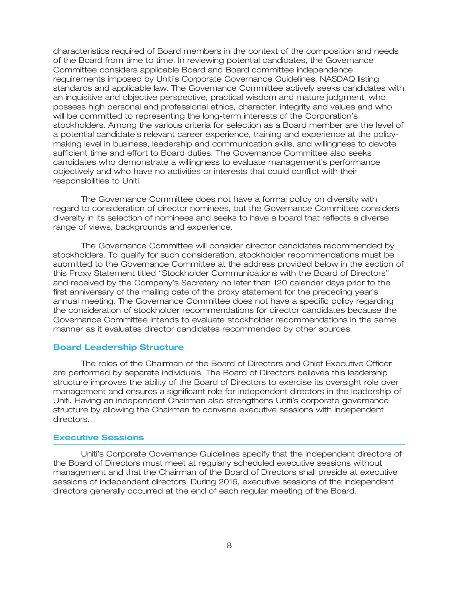characteristics required of Board members in the context of the composition and needs of the Board from time to time. In reviewing potential candidates, the Governance Committee considers applicable Board and Board committee independence requirements imposed by Uniti's Corporate Governance Guidelines, NASDAQ listing standards and applicable law. The Governance Committee actively seeks candidates with an inquisitive and objective perspective, practical wisdom and mature judgment, who possess high personal and professional ethics, character, integrity and values and who will be committed to representing the long-term interests of the Corporation's stockholders. Among the various criteria for selection as a Board member are the level of a potential candidate's relevant career experience, training and experience at the policymaking level in business, leadership and communication skills, and willingness to devote sufficient time and effort to Board duties. The Governance Committee also seeks candidates who demonstrate a willingness to evaluate management's performance objectively and who have no activities or interests that could conflict with their responsibilities to Uniti.

The Governance Committee does not have a formal policy on diversity with regard to consideration of director nominees, but the Governance Committee considers diversity in its selection of nominees and seeks to have a board that reflects a diverse range of views, backgrounds and experience.

The Governance Committee will consider director candidates recommended by stockholders. To qualify for such consideration, stockholder recommendations must be submitted to the Governance Committee at the address provided below in the section of this Proxy Statement titled ''Stockholder Communications with the Board of Directors'' and received by the Company's Secretary no later than 120 calendar days prior to the first anniversary of the mailing date of the proxy statement for the preceding year's annual meeting. The Governance Committee does not have a specific policy regarding the consideration of stockholder recommendations for director candidates because the Governance Committee intends to evaluate stockholder recommendations in the same manner as it evaluates director candidates recommended by other sources.

## **Board Leadership Structure**

The roles of the Chairman of the Board of Directors and Chief Executive Officer are performed by separate individuals. The Board of Directors believes this leadership structure improves the ability of the Board of Directors to exercise its oversight role over management and ensures a significant role for independent directors in the leadership of Uniti. Having an independent Chairman also strengthens Uniti's corporate governance structure by allowing the Chairman to convene executive sessions with independent directors.

# **Executive Sessions**

Uniti's Corporate Governance Guidelines specify that the independent directors of the Board of Directors must meet at regularly scheduled executive sessions without management and that the Chairman of the Board of Directors shall preside at executive sessions of independent directors. During 2016, executive sessions of the independent directors generally occurred at the end of each regular meeting of the Board.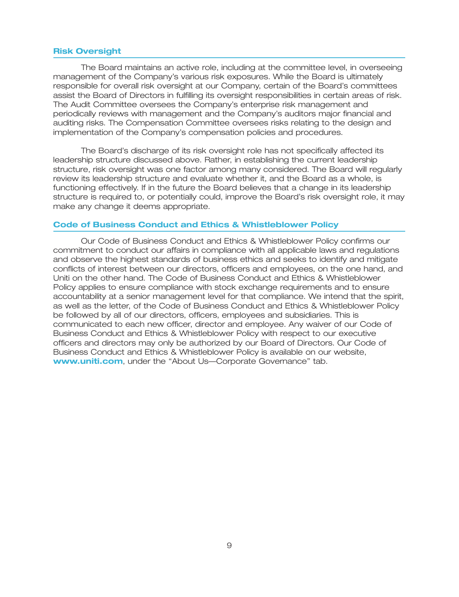#### **Risk Oversight**

The Board maintains an active role, including at the committee level, in overseeing management of the Company's various risk exposures. While the Board is ultimately responsible for overall risk oversight at our Company, certain of the Board's committees assist the Board of Directors in fulfilling its oversight responsibilities in certain areas of risk. The Audit Committee oversees the Company's enterprise risk management and periodically reviews with management and the Company's auditors major financial and auditing risks. The Compensation Committee oversees risks relating to the design and implementation of the Company's compensation policies and procedures.

The Board's discharge of its risk oversight role has not specifically affected its leadership structure discussed above. Rather, in establishing the current leadership structure, risk oversight was one factor among many considered. The Board will regularly review its leadership structure and evaluate whether it, and the Board as a whole, is functioning effectively. If in the future the Board believes that a change in its leadership structure is required to, or potentially could, improve the Board's risk oversight role, it may make any change it deems appropriate.

## **Code of Business Conduct and Ethics & Whistleblower Policy**

Our Code of Business Conduct and Ethics & Whistleblower Policy confirms our commitment to conduct our affairs in compliance with all applicable laws and regulations and observe the highest standards of business ethics and seeks to identify and mitigate conflicts of interest between our directors, officers and employees, on the one hand, and Uniti on the other hand. The Code of Business Conduct and Ethics & Whistleblower Policy applies to ensure compliance with stock exchange requirements and to ensure accountability at a senior management level for that compliance. We intend that the spirit, as well as the letter, of the Code of Business Conduct and Ethics & Whistleblower Policy be followed by all of our directors, officers, employees and subsidiaries. This is communicated to each new officer, director and employee. Any waiver of our Code of Business Conduct and Ethics & Whistleblower Policy with respect to our executive officers and directors may only be authorized by our Board of Directors. Our Code of Business Conduct and Ethics & Whistleblower Policy is available on our website, www.uniti.com, under the "About Us-Corporate Governance" tab.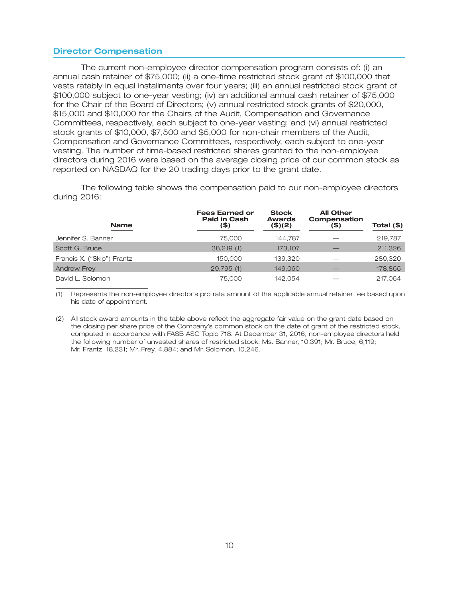## **Director Compensation**

The current non-employee director compensation program consists of: (i) an annual cash retainer of \$75,000; (ii) a one-time restricted stock grant of \$100,000 that vests ratably in equal installments over four years; (iii) an annual restricted stock grant of \$100,000 subject to one-year vesting; (iv) an additional annual cash retainer of \$75,000 for the Chair of the Board of Directors; (v) annual restricted stock grants of \$20,000, \$15,000 and \$10,000 for the Chairs of the Audit, Compensation and Governance Committees, respectively, each subject to one-year vesting; and (vi) annual restricted stock grants of \$10,000, \$7,500 and \$5,000 for non-chair members of the Audit, Compensation and Governance Committees, respectively, each subject to one-year vesting. The number of time-based restricted shares granted to the non-employee directors during 2016 were based on the average closing price of our common stock as reported on NASDAQ for the 20 trading days prior to the grant date.

The following table shows the compensation paid to our non-employee directors during 2016:

| <b>Name</b>                | <b>Fees Earned or</b><br><b>Paid in Cash</b><br>(\$) | <b>Stock</b><br><b>Awards</b><br>(\$)(2) | <b>All Other</b><br>Compensation<br>(\$) | Total (\$) |
|----------------------------|------------------------------------------------------|------------------------------------------|------------------------------------------|------------|
| Jennifer S. Banner         | 75,000                                               | 144.787                                  |                                          | 219,787    |
| Scott G. Bruce             | 38,219(1)                                            | 173.107                                  |                                          | 211,326    |
| Francis X. ("Skip") Frantz | 150,000                                              | 139,320                                  |                                          | 289,320    |
| <b>Andrew Frey</b>         | 29,795 (1)                                           | 149,060                                  |                                          | 178,855    |
| David L. Solomon           | 75,000                                               | 142.054                                  |                                          | 217.054    |

(1) Represents the non-employee director's pro rata amount of the applicable annual retainer fee based upon his date of appointment.

(2) All stock award amounts in the table above reflect the aggregate fair value on the grant date based on the closing per share price of the Company's common stock on the date of grant of the restricted stock, computed in accordance with FASB ASC Topic 718. At December 31, 2016, non-employee directors held the following number of unvested shares of restricted stock: Ms. Banner, 10,391; Mr. Bruce, 6,119; Mr. Frantz, 18,231; Mr. Frey, 4,884; and Mr. Solomon, 10,246.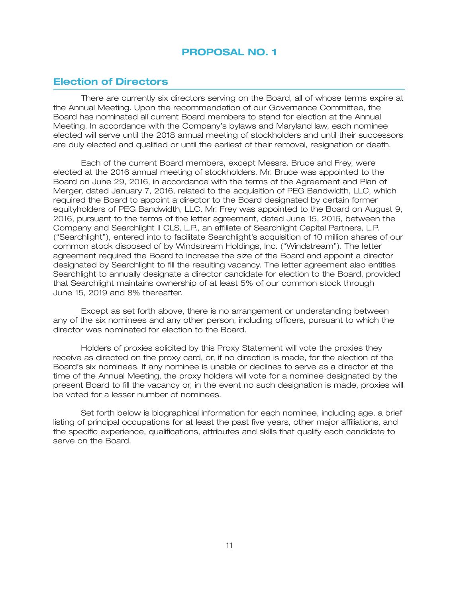# **PROPOSAL NO. 1**

# **Election of Directors**

There are currently six directors serving on the Board, all of whose terms expire at the Annual Meeting. Upon the recommendation of our Governance Committee, the Board has nominated all current Board members to stand for election at the Annual Meeting. In accordance with the Company's bylaws and Maryland law, each nominee elected will serve until the 2018 annual meeting of stockholders and until their successors are duly elected and qualified or until the earliest of their removal, resignation or death.

Each of the current Board members, except Messrs. Bruce and Frey, were elected at the 2016 annual meeting of stockholders. Mr. Bruce was appointed to the Board on June 29, 2016, in accordance with the terms of the Agreement and Plan of Merger, dated January 7, 2016, related to the acquisition of PEG Bandwidth, LLC, which required the Board to appoint a director to the Board designated by certain former equityholders of PEG Bandwidth, LLC. Mr. Frey was appointed to the Board on August 9, 2016, pursuant to the terms of the letter agreement, dated June 15, 2016, between the Company and Searchlight II CLS, L.P., an affiliate of Searchlight Capital Partners, L.P. (''Searchlight''), entered into to facilitate Searchlight's acquisition of 10 million shares of our common stock disposed of by Windstream Holdings, Inc. (''Windstream''). The letter agreement required the Board to increase the size of the Board and appoint a director designated by Searchlight to fill the resulting vacancy. The letter agreement also entitles Searchlight to annually designate a director candidate for election to the Board, provided that Searchlight maintains ownership of at least 5% of our common stock through June 15, 2019 and 8% thereafter.

Except as set forth above, there is no arrangement or understanding between any of the six nominees and any other person, including officers, pursuant to which the director was nominated for election to the Board.

Holders of proxies solicited by this Proxy Statement will vote the proxies they receive as directed on the proxy card, or, if no direction is made, for the election of the Board's six nominees. If any nominee is unable or declines to serve as a director at the time of the Annual Meeting, the proxy holders will vote for a nominee designated by the present Board to fill the vacancy or, in the event no such designation is made, proxies will be voted for a lesser number of nominees.

Set forth below is biographical information for each nominee, including age, a brief listing of principal occupations for at least the past five years, other major affiliations, and the specific experience, qualifications, attributes and skills that qualify each candidate to serve on the Board.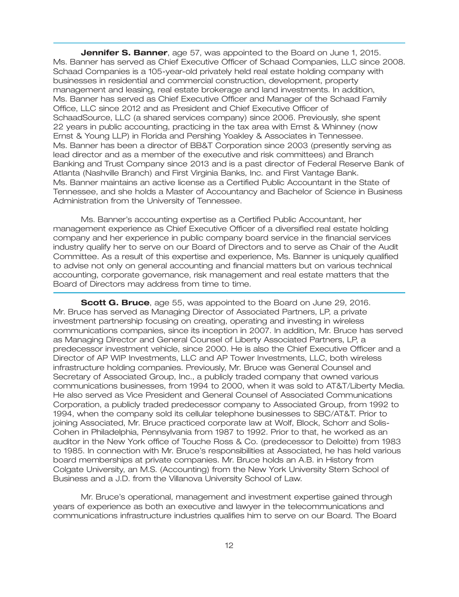**Jennifer S. Banner**, age 57, was appointed to the Board on June 1, 2015. Ms. Banner has served as Chief Executive Officer of Schaad Companies, LLC since 2008. Schaad Companies is a 105-year-old privately held real estate holding company with businesses in residential and commercial construction, development, property management and leasing, real estate brokerage and land investments. In addition, Ms. Banner has served as Chief Executive Officer and Manager of the Schaad Family Office, LLC since 2012 and as President and Chief Executive Officer of SchaadSource, LLC (a shared services company) since 2006. Previously, she spent 22 years in public accounting, practicing in the tax area with Ernst & Whinney (now Ernst & Young LLP) in Florida and Pershing Yoakley & Associates in Tennessee. Ms. Banner has been a director of BB&T Corporation since 2003 (presently serving as lead director and as a member of the executive and risk committees) and Branch Banking and Trust Company since 2013 and is a past director of Federal Reserve Bank of Atlanta (Nashville Branch) and First Virginia Banks, Inc. and First Vantage Bank. Ms. Banner maintains an active license as a Certified Public Accountant in the State of Tennessee, and she holds a Master of Accountancy and Bachelor of Science in Business Administration from the University of Tennessee.

Ms. Banner's accounting expertise as a Certified Public Accountant, her management experience as Chief Executive Officer of a diversified real estate holding company and her experience in public company board service in the financial services industry qualify her to serve on our Board of Directors and to serve as Chair of the Audit Committee. As a result of this expertise and experience, Ms. Banner is uniquely qualified to advise not only on general accounting and financial matters but on various technical accounting, corporate governance, risk management and real estate matters that the Board of Directors may address from time to time.

**Scott G. Bruce**, age 55, was appointed to the Board on June 29, 2016. Mr. Bruce has served as Managing Director of Associated Partners, LP, a private investment partnership focusing on creating, operating and investing in wireless communications companies, since its inception in 2007. In addition, Mr. Bruce has served as Managing Director and General Counsel of Liberty Associated Partners, LP, a predecessor investment vehicle, since 2000. He is also the Chief Executive Officer and a Director of AP WIP Investments, LLC and AP Tower Investments, LLC, both wireless infrastructure holding companies. Previously, Mr. Bruce was General Counsel and Secretary of Associated Group, Inc., a publicly traded company that owned various communications businesses, from 1994 to 2000, when it was sold to AT&T/Liberty Media. He also served as Vice President and General Counsel of Associated Communications Corporation, a publicly traded predecessor company to Associated Group, from 1992 to 1994, when the company sold its cellular telephone businesses to SBC/AT&T. Prior to joining Associated, Mr. Bruce practiced corporate law at Wolf, Block, Schorr and Solis-Cohen in Philadelphia, Pennsylvania from 1987 to 1992. Prior to that, he worked as an auditor in the New York office of Touche Ross & Co. (predecessor to Deloitte) from 1983 to 1985. In connection with Mr. Bruce's responsibilities at Associated, he has held various board memberships at private companies. Mr. Bruce holds an A.B. in History from Colgate University, an M.S. (Accounting) from the New York University Stern School of Business and a J.D. from the Villanova University School of Law.

Mr. Bruce's operational, management and investment expertise gained through years of experience as both an executive and lawyer in the telecommunications and communications infrastructure industries qualifies him to serve on our Board. The Board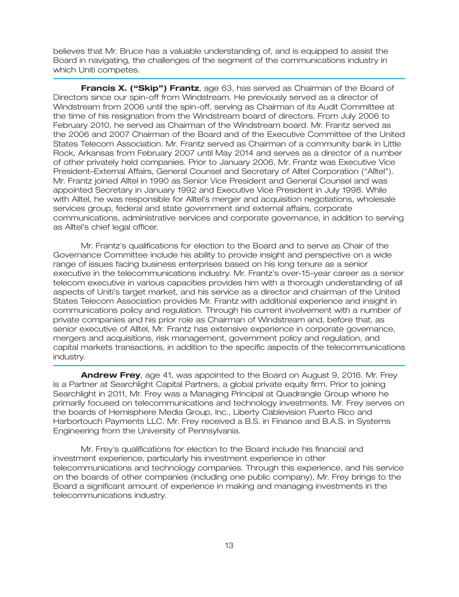believes that Mr. Bruce has a valuable understanding of, and is equipped to assist the Board in navigating, the challenges of the segment of the communications industry in which Uniti competes.

**Francis X. (''Skip'') Frantz**, age 63, has served as Chairman of the Board of Directors since our spin-off from Windstream. He previously served as a director of Windstream from 2006 until the spin-off, serving as Chairman of its Audit Committee at the time of his resignation from the Windstream board of directors. From July 2006 to February 2010, he served as Chairman of the Windstream board. Mr. Frantz served as the 2006 and 2007 Chairman of the Board and of the Executive Committee of the United States Telecom Association. Mr. Frantz served as Chairman of a community bank in Little Rock, Arkansas from February 2007 until May 2014 and serves as a director of a number of other privately held companies. Prior to January 2006, Mr. Frantz was Executive Vice President-External Affairs, General Counsel and Secretary of Alltel Corporation ("Alltel"). Mr. Frantz joined Alltel in 1990 as Senior Vice President and General Counsel and was appointed Secretary in January 1992 and Executive Vice President in July 1998. While with Alltel, he was responsible for Alltel's merger and acquisition negotiations, wholesale services group, federal and state government and external affairs, corporate communications, administrative services and corporate governance, in addition to serving as Alltel's chief legal officer.

Mr. Frantz's qualifications for election to the Board and to serve as Chair of the Governance Committee include his ability to provide insight and perspective on a wide range of issues facing business enterprises based on his long tenure as a senior executive in the telecommunications industry. Mr. Frantz's over-15-year career as a senior telecom executive in various capacities provides him with a thorough understanding of all aspects of Uniti's target market, and his service as a director and chairman of the United States Telecom Association provides Mr. Frantz with additional experience and insight in communications policy and regulation. Through his current involvement with a number of private companies and his prior role as Chairman of Windstream and, before that, as senior executive of Alltel, Mr. Frantz has extensive experience in corporate governance, mergers and acquisitions, risk management, government policy and regulation, and capital markets transactions, in addition to the specific aspects of the telecommunications industry.

**Andrew Frey**, age 41, was appointed to the Board on August 9, 2016. Mr. Frey is a Partner at Searchlight Capital Partners, a global private equity firm. Prior to joining Searchlight in 2011, Mr. Frey was a Managing Principal at Quadrangle Group where he primarily focused on telecommunications and technology investments. Mr. Frey serves on the boards of Hemisphere Media Group, Inc., Liberty Cablevision Puerto Rico and Harbortouch Payments LLC. Mr. Frey received a B.S. in Finance and B.A.S. in Systems Engineering from the University of Pennsylvania.

Mr. Frey's qualifications for election to the Board include his financial and investment experience, particularly his investment experience in other telecommunications and technology companies. Through this experience, and his service on the boards of other companies (including one public company), Mr. Frey brings to the Board a significant amount of experience in making and managing investments in the telecommunications industry.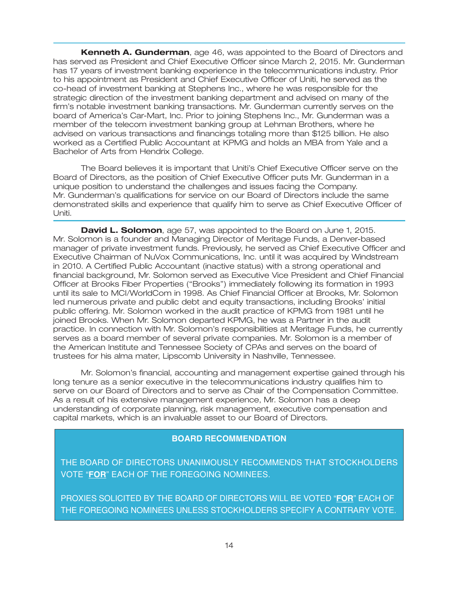**Kenneth A. Gunderman**, age 46, was appointed to the Board of Directors and has served as President and Chief Executive Officer since March 2, 2015. Mr. Gunderman has 17 years of investment banking experience in the telecommunications industry. Prior to his appointment as President and Chief Executive Officer of Uniti, he served as the co-head of investment banking at Stephens Inc., where he was responsible for the strategic direction of the investment banking department and advised on many of the firm's notable investment banking transactions. Mr. Gunderman currently serves on the board of America's Car-Mart, Inc. Prior to joining Stephens Inc., Mr. Gunderman was a member of the telecom investment banking group at Lehman Brothers, where he advised on various transactions and financings totaling more than \$125 billion. He also worked as a Certified Public Accountant at KPMG and holds an MBA from Yale and a Bachelor of Arts from Hendrix College.

The Board believes it is important that Uniti's Chief Executive Officer serve on the Board of Directors, as the position of Chief Executive Officer puts Mr. Gunderman in a unique position to understand the challenges and issues facing the Company. Mr. Gunderman's qualifications for service on our Board of Directors include the same demonstrated skills and experience that qualify him to serve as Chief Executive Officer of Uniti.

**David L. Solomon**, age 57, was appointed to the Board on June 1, 2015. Mr. Solomon is a founder and Managing Director of Meritage Funds, a Denver-based manager of private investment funds. Previously, he served as Chief Executive Officer and Executive Chairman of NuVox Communications, Inc. until it was acquired by Windstream in 2010. A Certified Public Accountant (inactive status) with a strong operational and financial background, Mr. Solomon served as Executive Vice President and Chief Financial Officer at Brooks Fiber Properties (''Brooks'') immediately following its formation in 1993 until its sale to MCI/WorldCom in 1998. As Chief Financial Officer at Brooks, Mr. Solomon led numerous private and public debt and equity transactions, including Brooks' initial public offering. Mr. Solomon worked in the audit practice of KPMG from 1981 until he joined Brooks. When Mr. Solomon departed KPMG, he was a Partner in the audit practice. In connection with Mr. Solomon's responsibilities at Meritage Funds, he currently serves as a board member of several private companies. Mr. Solomon is a member of the American Institute and Tennessee Society of CPAs and serves on the board of trustees for his alma mater, Lipscomb University in Nashville, Tennessee.

Mr. Solomon's financial, accounting and management expertise gained through his long tenure as a senior executive in the telecommunications industry qualifies him to serve on our Board of Directors and to serve as Chair of the Compensation Committee. As a result of his extensive management experience, Mr. Solomon has a deep understanding of corporate planning, risk management, executive compensation and capital markets, which is an invaluable asset to our Board of Directors.

# **BOARD RECOMMENDATION**

THE BOARD OF DIRECTORS UNANIMOUSLY RECOMMENDS THAT STOCKHOLDERS VOTE "**FOR**" EACH OF THE FOREGOING NOMINEES.

PROXIES SOLICITED BY THE BOARD OF DIRECTORS WILL BE VOTED "**FOR**" EACH OF THE FOREGOING NOMINEES UNLESS STOCKHOLDERS SPECIFY A CONTRARY VOTE.

25MAR201710575830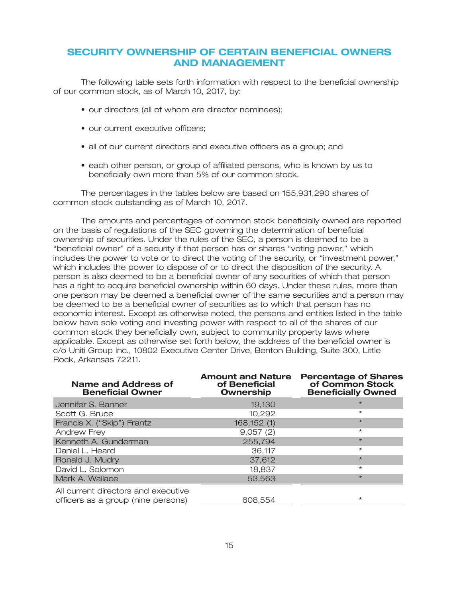# **SECURITY OWNERSHIP OF CERTAIN BENEFICIAL OWNERS AND MANAGEMENT**

The following table sets forth information with respect to the beneficial ownership of our common stock, as of March 10, 2017, by:

- our directors (all of whom are director nominees);
- our current executive officers;
- all of our current directors and executive officers as a group; and
- each other person, or group of affiliated persons, who is known by us to beneficially own more than 5% of our common stock.

The percentages in the tables below are based on 155,931,290 shares of common stock outstanding as of March 10, 2017.

The amounts and percentages of common stock beneficially owned are reported on the basis of regulations of the SEC governing the determination of beneficial ownership of securities. Under the rules of the SEC, a person is deemed to be a ''beneficial owner'' of a security if that person has or shares ''voting power,'' which includes the power to vote or to direct the voting of the security, or ''investment power,'' which includes the power to dispose of or to direct the disposition of the security. A person is also deemed to be a beneficial owner of any securities of which that person has a right to acquire beneficial ownership within 60 days. Under these rules, more than one person may be deemed a beneficial owner of the same securities and a person may be deemed to be a beneficial owner of securities as to which that person has no economic interest. Except as otherwise noted, the persons and entities listed in the table below have sole voting and investing power with respect to all of the shares of our common stock they beneficially own, subject to community property laws where applicable. Except as otherwise set forth below, the address of the beneficial owner is c/o Uniti Group Inc., 10802 Executive Center Drive, Benton Building, Suite 300, Little Rock, Arkansas 72211.

| Name and Address of<br><b>Beneficial Owner</b>                            | <b>Amount and Nature</b><br>of Beneficial<br><b>Ownership</b> | <b>Percentage of Shares</b><br>of Common Stock<br><b>Beneficially Owned</b> |
|---------------------------------------------------------------------------|---------------------------------------------------------------|-----------------------------------------------------------------------------|
| Jennifer S. Banner                                                        | 19.130                                                        | $\star$                                                                     |
| Scott G. Bruce                                                            | 10,292                                                        | $\star$                                                                     |
| Francis X. ("Skip") Frantz                                                | 168,152 (1)                                                   | $\star$                                                                     |
| Andrew Frey                                                               | 9,057(2)                                                      | $\star$                                                                     |
| Kenneth A. Gunderman                                                      | 255,794                                                       | $\star$                                                                     |
| Daniel L. Heard                                                           | 36.117                                                        | $\star$                                                                     |
| Ronald J. Mudry                                                           | 37,612                                                        | $\star$                                                                     |
| David L. Solomon                                                          | 18,837                                                        | $\star$                                                                     |
| Mark A. Wallace                                                           | 53.563                                                        | $\star$                                                                     |
| All current directors and executive<br>officers as a group (nine persons) | 608.554                                                       | $\star$                                                                     |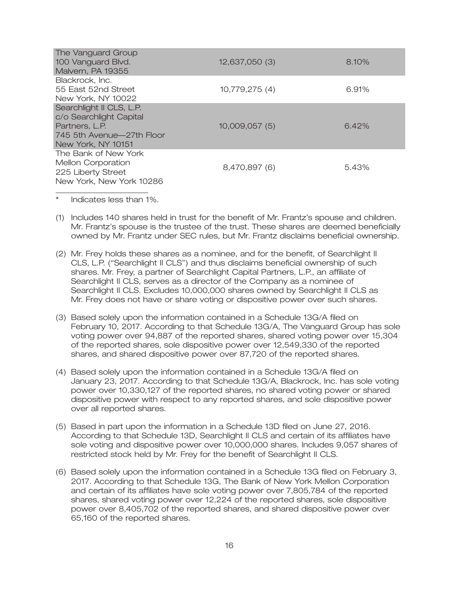| The Vanguard Group<br>100 Vanguard Blvd.<br>Malvern, PA 19355                                                            | 12,637,050 (3) | 8.10% |
|--------------------------------------------------------------------------------------------------------------------------|----------------|-------|
| Blackrock, Inc.<br>55 East 52nd Street<br>New York, NY 10022                                                             | 10,779,275 (4) | 6.91% |
| Searchlight II CLS, L.P.<br>c/o Searchlight Capital<br>Partners, L.P.<br>745 5th Avenue—27th Floor<br>New York, NY 10151 | 10,009,057(5)  | 6.42% |
| The Bank of New York<br><b>Mellon Corporation</b><br>225 Liberty Street<br>New York, New York 10286                      | 8,470,897 (6)  | 5.43% |

Indicates less than 1%.

- (1) Includes 140 shares held in trust for the benefit of Mr. Frantz's spouse and children. Mr. Frantz's spouse is the trustee of the trust. These shares are deemed beneficially owned by Mr. Frantz under SEC rules, but Mr. Frantz disclaims beneficial ownership.
- (2) Mr. Frey holds these shares as a nominee, and for the benefit, of Searchlight II CLS, L.P. (''Searchlight II CLS'') and thus disclaims beneficial ownership of such shares. Mr. Frey, a partner of Searchlight Capital Partners, L.P., an affiliate of Searchlight II CLS, serves as a director of the Company as a nominee of Searchlight II CLS. Excludes 10,000,000 shares owned by Searchlight II CLS as Mr. Frey does not have or share voting or dispositive power over such shares.
- (3) Based solely upon the information contained in a Schedule 13G/A filed on February 10, 2017. According to that Schedule 13G/A, The Vanguard Group has sole voting power over 94,887 of the reported shares, shared voting power over 15,304 of the reported shares, sole dispositive power over 12,549,330 of the reported shares, and shared dispositive power over 87,720 of the reported shares.
- (4) Based solely upon the information contained in a Schedule 13G/A filed on January 23, 2017. According to that Schedule 13G/A, Blackrock, Inc. has sole voting power over 10,330,127 of the reported shares, no shared voting power or shared dispositive power with respect to any reported shares, and sole dispositive power over all reported shares.
- (5) Based in part upon the information in a Schedule 13D filed on June 27, 2016. According to that Schedule 13D, Searchlight II CLS and certain of its affiliates have sole voting and dispositive power over 10,000,000 shares. Includes 9,057 shares of restricted stock held by Mr. Frey for the benefit of Searchlight II CLS.
- (6) Based solely upon the information contained in a Schedule 13G filed on February 3, 2017. According to that Schedule 13G, The Bank of New York Mellon Corporation and certain of its affiliates have sole voting power over 7,805,784 of the reported shares, shared voting power over 12,224 of the reported shares, sole dispositive power over 8,405,702 of the reported shares, and shared dispositive power over 65,160 of the reported shares.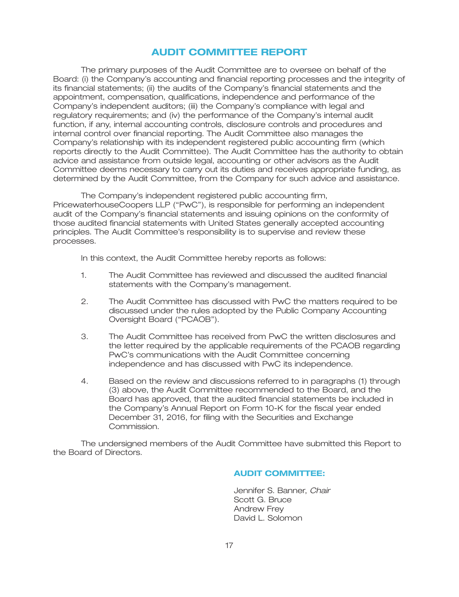# **AUDIT COMMITTEE REPORT**

The primary purposes of the Audit Committee are to oversee on behalf of the Board: (i) the Company's accounting and financial reporting processes and the integrity of its financial statements; (ii) the audits of the Company's financial statements and the appointment, compensation, qualifications, independence and performance of the Company's independent auditors; (iii) the Company's compliance with legal and regulatory requirements; and (iv) the performance of the Company's internal audit function, if any, internal accounting controls, disclosure controls and procedures and internal control over financial reporting. The Audit Committee also manages the Company's relationship with its independent registered public accounting firm (which reports directly to the Audit Committee). The Audit Committee has the authority to obtain advice and assistance from outside legal, accounting or other advisors as the Audit Committee deems necessary to carry out its duties and receives appropriate funding, as determined by the Audit Committee, from the Company for such advice and assistance.

The Company's independent registered public accounting firm, PricewaterhouseCoopers LLP (''PwC''), is responsible for performing an independent audit of the Company's financial statements and issuing opinions on the conformity of those audited financial statements with United States generally accepted accounting principles. The Audit Committee's responsibility is to supervise and review these processes.

In this context, the Audit Committee hereby reports as follows:

- 1. The Audit Committee has reviewed and discussed the audited financial statements with the Company's management.
- 2. The Audit Committee has discussed with PwC the matters required to be discussed under the rules adopted by the Public Company Accounting Oversight Board ("PCAOB").
- 3. The Audit Committee has received from PwC the written disclosures and the letter required by the applicable requirements of the PCAOB regarding PwC's communications with the Audit Committee concerning independence and has discussed with PwC its independence.
- 4. Based on the review and discussions referred to in paragraphs (1) through (3) above, the Audit Committee recommended to the Board, and the Board has approved, that the audited financial statements be included in the Company's Annual Report on Form 10-K for the fiscal year ended December 31, 2016, for filing with the Securities and Exchange Commission.

The undersigned members of the Audit Committee have submitted this Report to the Board of Directors.

# **AUDIT COMMITTEE:**

Jennifer S. Banner, *Chair* Scott G. Bruce Andrew Frey David L. Solomon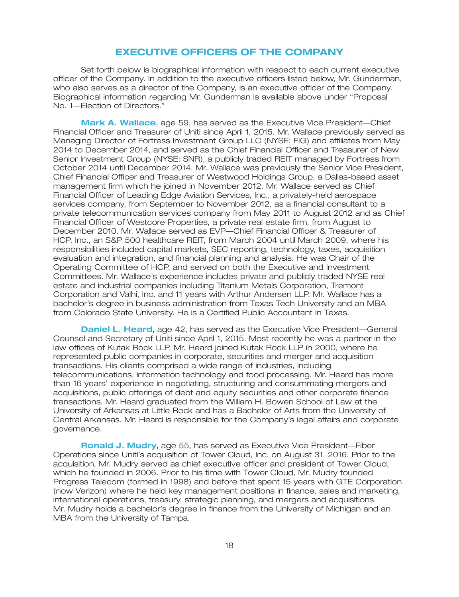# **EXECUTIVE OFFICERS OF THE COMPANY**

Set forth below is biographical information with respect to each current executive officer of the Company. In addition to the executive officers listed below, Mr. Gunderman, who also serves as a director of the Company, is an executive officer of the Company. Biographical information regarding Mr. Gunderman is available above under ''Proposal No. 1—Election of Directors.''

**Mark A. Wallace**, age 59, has served as the Executive Vice President—Chief Financial Officer and Treasurer of Uniti since April 1, 2015. Mr. Wallace previously served as Managing Director of Fortress Investment Group LLC (NYSE: FIG) and affiliates from May 2014 to December 2014, and served as the Chief Financial Officer and Treasurer of New Senior Investment Group (NYSE: SNR), a publicly traded REIT managed by Fortress from October 2014 until December 2014. Mr. Wallace was previously the Senior Vice President, Chief Financial Officer and Treasurer of Westwood Holdings Group, a Dallas-based asset management firm which he joined in November 2012. Mr. Wallace served as Chief Financial Officer of Leading Edge Aviation Services, Inc., a privately-held aerospace services company, from September to November 2012, as a financial consultant to a private telecommunication services company from May 2011 to August 2012 and as Chief Financial Officer of Westcore Properties, a private real estate firm, from August to December 2010. Mr. Wallace served as EVP—Chief Financial Officer & Treasurer of HCP, Inc., an S&P 500 healthcare REIT, from March 2004 until March 2009, where his responsibilities included capital markets, SEC reporting, technology, taxes, acquisition evaluation and integration, and financial planning and analysis. He was Chair of the Operating Committee of HCP, and served on both the Executive and Investment Committees. Mr. Wallace's experience includes private and publicly traded NYSE real estate and industrial companies including Titanium Metals Corporation, Tremont Corporation and Valhi, Inc. and 11 years with Arthur Andersen LLP. Mr. Wallace has a bachelor's degree in business administration from Texas Tech University and an MBA from Colorado State University. He is a Certified Public Accountant in Texas.

**Daniel L. Heard**, age 42, has served as the Executive Vice President—General Counsel and Secretary of Uniti since April 1, 2015. Most recently he was a partner in the law offices of Kutak Rock LLP. Mr. Heard joined Kutak Rock LLP in 2000, where he represented public companies in corporate, securities and merger and acquisition transactions. His clients comprised a wide range of industries, including telecommunications, information technology and food processing. Mr. Heard has more than 16 years' experience in negotiating, structuring and consummating mergers and acquisitions, public offerings of debt and equity securities and other corporate finance transactions. Mr. Heard graduated from the William H. Bowen School of Law at the University of Arkansas at Little Rock and has a Bachelor of Arts from the University of Central Arkansas. Mr. Heard is responsible for the Company's legal affairs and corporate governance.

**Ronald J. Mudry**, age 55, has served as Executive Vice President—Fiber Operations since Uniti's acquisition of Tower Cloud, Inc. on August 31, 2016. Prior to the acquisition, Mr. Mudry served as chief executive officer and president of Tower Cloud, which he founded in 2006. Prior to his time with Tower Cloud, Mr. Mudry founded Progress Telecom (formed in 1998) and before that spent 15 years with GTE Corporation (now Verizon) where he held key management positions in finance, sales and marketing, international operations, treasury, strategic planning, and mergers and acquisitions. Mr. Mudry holds a bachelor's degree in finance from the University of Michigan and an MBA from the University of Tampa.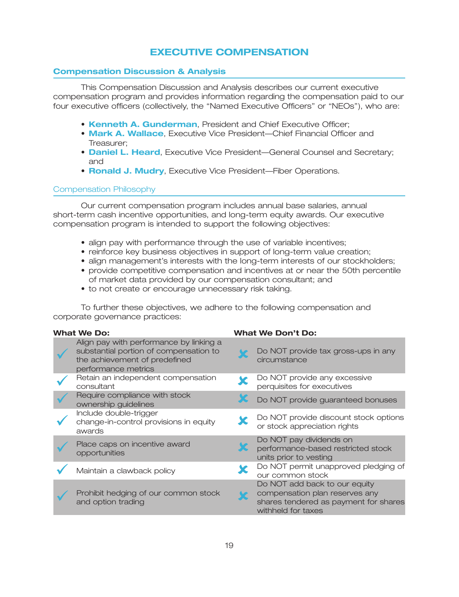# **EXECUTIVE COMPENSATION**

# **Compensation Discussion & Analysis**

This Compensation Discussion and Analysis describes our current executive compensation program and provides information regarding the compensation paid to our four executive officers (collectively, the ''Named Executive Officers'' or ''NEOs''), who are:

- **Kenneth A. Gunderman**, President and Chief Executive Officer;
- **Mark A. Wallace**, Executive Vice President—Chief Financial Officer and Treasurer;
- **Daniel L. Heard**, Executive Vice President—General Counsel and Secretary; and
- **Ronald J. Mudry**, Executive Vice President—Fiber Operations.

# Compensation Philosophy

Our current compensation program includes annual base salaries, annual short-term cash incentive opportunities, and long-term equity awards. Our executive compensation program is intended to support the following objectives:

- align pay with performance through the use of variable incentives;
- reinforce key business objectives in support of long-term value creation;
- align management's interests with the long-term interests of our stockholders;
- provide competitive compensation and incentives at or near the 50th percentile of market data provided by our compensation consultant; and
- to not create or encourage unnecessary risk taking.

To further these objectives, we adhere to the following compensation and corporate governance practices:

| <b>What We Do:</b>                                                                                                                        | <b>What We Don't Do:</b>                                                                                                       |
|-------------------------------------------------------------------------------------------------------------------------------------------|--------------------------------------------------------------------------------------------------------------------------------|
| Align pay with performance by linking a<br>substantial portion of compensation to<br>the achievement of predefined<br>performance metrics | Do NOT provide tax gross-ups in any<br>circumstance                                                                            |
| Retain an independent compensation<br>consultant                                                                                          | Do NOT provide any excessive<br>perquisites for executives                                                                     |
| Require compliance with stock<br>ownership guidelines                                                                                     | Do NOT provide guaranteed bonuses                                                                                              |
| Include double-trigger<br>change-in-control provisions in equity<br>awards                                                                | Do NOT provide discount stock options<br>or stock appreciation rights                                                          |
| Place caps on incentive award<br>opportunities                                                                                            | Do NOT pay dividends on<br>performance-based restricted stock<br>units prior to vesting                                        |
| Maintain a clawback policy                                                                                                                | Do NOT permit unapproved pledging of<br>our common stock                                                                       |
| Prohibit hedging of our common stock<br>and option trading                                                                                | Do NOT add back to our equity<br>compensation plan reserves any<br>shares tendered as payment for shares<br>withheld for taxes |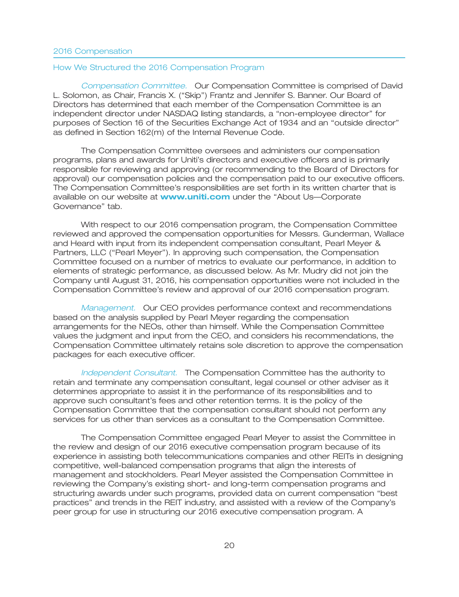#### How We Structured the 2016 Compensation Program

Compensation Committee. Our Compensation Committee is comprised of David L. Solomon, as Chair, Francis X. (''Skip'') Frantz and Jennifer S. Banner. Our Board of Directors has determined that each member of the Compensation Committee is an independent director under NASDAQ listing standards, a ''non-employee director'' for purposes of Section 16 of the Securities Exchange Act of 1934 and an ''outside director'' as defined in Section 162(m) of the Internal Revenue Code.

The Compensation Committee oversees and administers our compensation programs, plans and awards for Uniti's directors and executive officers and is primarily responsible for reviewing and approving (or recommending to the Board of Directors for approval) our compensation policies and the compensation paid to our executive officers. The Compensation Committee's responsibilities are set forth in its written charter that is available on our website at **www.uniti.com** under the "About Us—Corporate Governance'' tab.

With respect to our 2016 compensation program, the Compensation Committee reviewed and approved the compensation opportunities for Messrs. Gunderman, Wallace and Heard with input from its independent compensation consultant, Pearl Meyer & Partners, LLC (''Pearl Meyer''). In approving such compensation, the Compensation Committee focused on a number of metrics to evaluate our performance, in addition to elements of strategic performance, as discussed below. As Mr. Mudry did not join the Company until August 31, 2016, his compensation opportunities were not included in the Compensation Committee's review and approval of our 2016 compensation program.

Management. Our CEO provides performance context and recommendations based on the analysis supplied by Pearl Meyer regarding the compensation arrangements for the NEOs, other than himself. While the Compensation Committee values the judgment and input from the CEO, and considers his recommendations, the Compensation Committee ultimately retains sole discretion to approve the compensation packages for each executive officer.

Independent Consultant. The Compensation Committee has the authority to retain and terminate any compensation consultant, legal counsel or other adviser as it determines appropriate to assist it in the performance of its responsibilities and to approve such consultant's fees and other retention terms. It is the policy of the Compensation Committee that the compensation consultant should not perform any services for us other than services as a consultant to the Compensation Committee.

The Compensation Committee engaged Pearl Meyer to assist the Committee in the review and design of our 2016 executive compensation program because of its experience in assisting both telecommunications companies and other REITs in designing competitive, well-balanced compensation programs that align the interests of management and stockholders. Pearl Meyer assisted the Compensation Committee in reviewing the Company's existing short- and long-term compensation programs and structuring awards under such programs, provided data on current compensation ''best practices'' and trends in the REIT industry, and assisted with a review of the Company's peer group for use in structuring our 2016 executive compensation program. A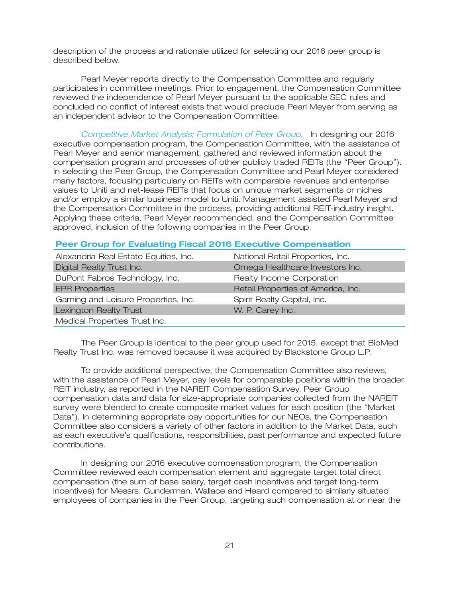description of the process and rationale utilized for selecting our 2016 peer group is described below.

Pearl Meyer reports directly to the Compensation Committee and regularly participates in committee meetings. Prior to engagement, the Compensation Committee reviewed the independence of Pearl Meyer pursuant to the applicable SEC rules and concluded no conflict of interest exists that would preclude Pearl Meyer from serving as an independent advisor to the Compensation Committee.

Competitive Market Analysis; Formulation of Peer Group. In designing our 2016 executive compensation program, the Compensation Committee, with the assistance of Pearl Meyer and senior management, gathered and reviewed information about the compensation program and processes of other publicly traded REITs (the ''Peer Group''). In selecting the Peer Group, the Compensation Committee and Pearl Meyer considered many factors, focusing particularly on REITs with comparable revenues and enterprise values to Uniti and net-lease REITs that focus on unique market segments or niches and/or employ a similar business model to Uniti. Management assisted Pearl Meyer and the Compensation Committee in the process, providing additional REIT-industry insight. Applying these criteria, Pearl Meyer recommended, and the Compensation Committee approved, inclusion of the following companies in the Peer Group:

#### **Peer Group for Evaluating Fiscal 2016 Executive Compensation**

| Alexandria Real Estate Equities, Inc. | National Retail Properties, Inc.   |
|---------------------------------------|------------------------------------|
| Digital Realty Trust Inc.             | Omega Healthcare Investors Inc.    |
| DuPont Fabros Technology, Inc.        | Realty Income Corporation          |
| <b>EPR Properties</b>                 | Retail Properties of America, Inc. |
| Gaming and Leisure Properties, Inc.   | Spirit Realty Capital, Inc.        |
| Lexington Realty Trust                | W. P. Carey Inc.                   |
| Medical Properties Trust Inc.         |                                    |

The Peer Group is identical to the peer group used for 2015, except that BioMed Realty Trust Inc. was removed because it was acquired by Blackstone Group L.P.

To provide additional perspective, the Compensation Committee also reviews, with the assistance of Pearl Meyer, pay levels for comparable positions within the broader REIT industry, as reported in the NAREIT Compensation Survey. Peer Group compensation data and data for size-appropriate companies collected from the NAREIT survey were blended to create composite market values for each position (the ''Market Data''). In determining appropriate pay opportunities for our NEOs, the Compensation Committee also considers a variety of other factors in addition to the Market Data, such as each executive's qualifications, responsibilities, past performance and expected future contributions.

In designing our 2016 executive compensation program, the Compensation Committee reviewed each compensation element and aggregate target total direct compensation (the sum of base salary, target cash incentives and target long-term incentives) for Messrs. Gunderman, Wallace and Heard compared to similarly situated employees of companies in the Peer Group, targeting such compensation at or near the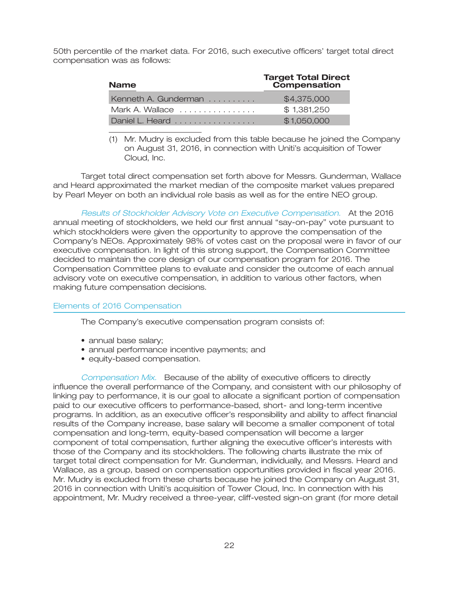50th percentile of the market data. For 2016, such executive officers' target total direct compensation was as follows:

| <b>Name</b>          | <b>Target Total Direct</b><br>Compensation |
|----------------------|--------------------------------------------|
| Kenneth A. Gunderman | \$4,375,000                                |
| Mark A. Wallace      | \$1,381,250                                |
| Daniel L. Heard      | \$1,050,000                                |

(1) Mr. Mudry is excluded from this table because he joined the Company on August 31, 2016, in connection with Uniti's acquisition of Tower Cloud, Inc.

Target total direct compensation set forth above for Messrs. Gunderman, Wallace and Heard approximated the market median of the composite market values prepared by Pearl Meyer on both an individual role basis as well as for the entire NEO group.

Results of Stockholder Advisory Vote on Executive Compensation. At the 2016 annual meeting of stockholders, we held our first annual ''say-on-pay'' vote pursuant to which stockholders were given the opportunity to approve the compensation of the Company's NEOs. Approximately 98% of votes cast on the proposal were in favor of our executive compensation. In light of this strong support, the Compensation Committee decided to maintain the core design of our compensation program for 2016. The Compensation Committee plans to evaluate and consider the outcome of each annual advisory vote on executive compensation, in addition to various other factors, when making future compensation decisions.

#### Elements of 2016 Compensation

The Company's executive compensation program consists of:

- annual base salary;
- annual performance incentive payments; and
- equity-based compensation.

Compensation Mix. Because of the ability of executive officers to directly influence the overall performance of the Company, and consistent with our philosophy of linking pay to performance, it is our goal to allocate a significant portion of compensation paid to our executive officers to performance-based, short- and long-term incentive programs. In addition, as an executive officer's responsibility and ability to affect financial results of the Company increase, base salary will become a smaller component of total compensation and long-term, equity-based compensation will become a larger component of total compensation, further aligning the executive officer's interests with those of the Company and its stockholders. The following charts illustrate the mix of target total direct compensation for Mr. Gunderman, individually, and Messrs. Heard and Wallace, as a group, based on compensation opportunities provided in fiscal year 2016. Mr. Mudry is excluded from these charts because he joined the Company on August 31, 2016 in connection with Uniti's acquisition of Tower Cloud, Inc. In connection with his appointment, Mr. Mudry received a three-year, cliff-vested sign-on grant (for more detail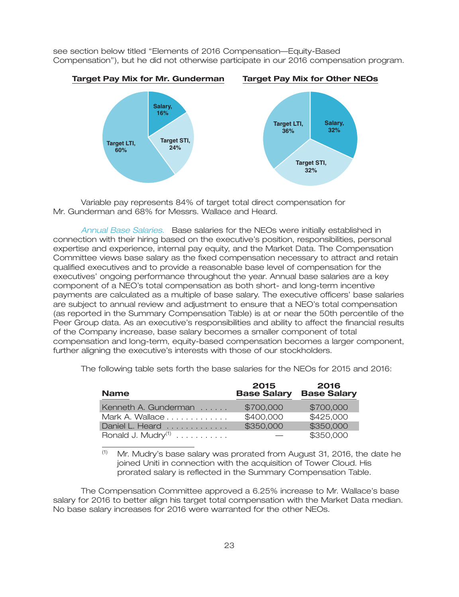see section below titled ''Elements of 2016 Compensation—Equity-Based Compensation''), but he did not otherwise participate in our 2016 compensation program.



Variable pay represents 84% of target total direct compensation for Mr. Gunderman and 68% for Messrs. Wallace and Heard.

Annual Base Salaries. Base salaries for the NEOs were initially established in connection with their hiring based on the executive's position, responsibilities, personal expertise and experience, internal pay equity, and the Market Data. The Compensation Committee views base salary as the fixed compensation necessary to attract and retain qualified executives and to provide a reasonable base level of compensation for the executives' ongoing performance throughout the year. Annual base salaries are a key component of a NEO's total compensation as both short- and long-term incentive payments are calculated as a multiple of base salary. The executive officers' base salaries are subject to annual review and adjustment to ensure that a NEO's total compensation (as reported in the Summary Compensation Table) is at or near the 50th percentile of the Peer Group data. As an executive's responsibilities and ability to affect the financial results of the Company increase, base salary becomes a smaller component of total compensation and long-term, equity-based compensation becomes a larger component, further aligning the executive's interests with those of our stockholders.

The following table sets forth the base salaries for the NEOs for 2015 and 2016:

| <b>Name</b>                    | 2015<br><b>Base Salary</b> | 2016<br><b>Base Salary</b> |
|--------------------------------|----------------------------|----------------------------|
| Kenneth A. Gunderman           | \$700,000                  | \$700,000                  |
| Mark A. Wallace                | \$400,000                  | \$425,000                  |
| Daniel L. Heard                | \$350,000                  | \$350,000                  |
| Ronald J. Mudry <sup>(1)</sup> |                            | \$350,000                  |

 $(1)$  Mr. Mudry's base salary was prorated from August 31, 2016, the date he joined Uniti in connection with the acquisition of Tower Cloud. His prorated salary is reflected in the Summary Compensation Table.

The Compensation Committee approved a 6.25% increase to Mr. Wallace's base salary for 2016 to better align his target total compensation with the Market Data median. No base salary increases for 2016 were warranted for the other NEOs.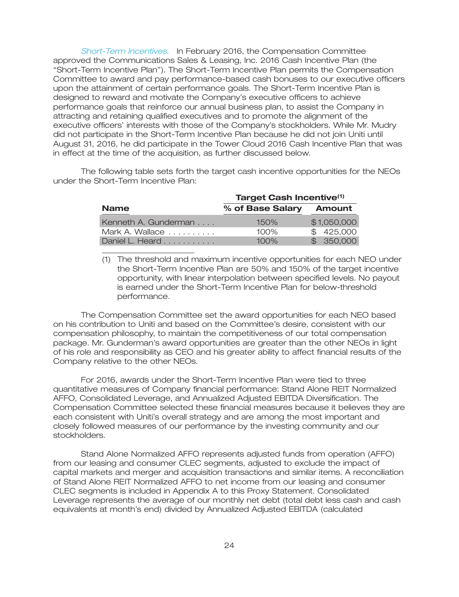Short-Term Incentives. In February 2016, the Compensation Committee approved the Communications Sales & Leasing, Inc. 2016 Cash Incentive Plan (the ''Short-Term Incentive Plan''). The Short-Term Incentive Plan permits the Compensation Committee to award and pay performance-based cash bonuses to our executive officers upon the attainment of certain performance goals. The Short-Term Incentive Plan is designed to reward and motivate the Company's executive officers to achieve performance goals that reinforce our annual business plan, to assist the Company in attracting and retaining qualified executives and to promote the alignment of the executive officers' interests with those of the Company's stockholders. While Mr. Mudry did not participate in the Short-Term Incentive Plan because he did not join Uniti until August 31, 2016, he did participate in the Tower Cloud 2016 Cash Incentive Plan that was in effect at the time of the acquisition, as further discussed below.

The following table sets forth the target cash incentive opportunities for the NEOs under the Short-Term Incentive Plan:

|                                                | <b>Target Cash Incentive(1)</b> |             |  |  |
|------------------------------------------------|---------------------------------|-------------|--|--|
| <b>Name</b>                                    | % of Base Salary Amount         |             |  |  |
| Kenneth A. Gunderman                           | 150%                            | \$1,050,000 |  |  |
| Mark A. Wallace                                | $100\%$                         | \$425,000   |  |  |
| Daniel L. Heard $\ldots$ , $\ldots$ , $\ldots$ | $100\%$                         | \$ 350,000  |  |  |

(1) The threshold and maximum incentive opportunities for each NEO under the Short-Term Incentive Plan are 50% and 150% of the target incentive opportunity, with linear interpolation between specified levels. No payout is earned under the Short-Term Incentive Plan for below-threshold performance.

The Compensation Committee set the award opportunities for each NEO based on his contribution to Uniti and based on the Committee's desire, consistent with our compensation philosophy, to maintain the competitiveness of our total compensation package. Mr. Gunderman's award opportunities are greater than the other NEOs in light of his role and responsibility as CEO and his greater ability to affect financial results of the Company relative to the other NEOs.

For 2016, awards under the Short-Term Incentive Plan were tied to three quantitative measures of Company financial performance: Stand Alone REIT Normalized AFFO, Consolidated Leverage, and Annualized Adjusted EBITDA Diversification. The Compensation Committee selected these financial measures because it believes they are each consistent with Uniti's overall strategy and are among the most important and closely followed measures of our performance by the investing community and our stockholders.

Stand Alone Normalized AFFO represents adjusted funds from operation (AFFO) from our leasing and consumer CLEC segments, adjusted to exclude the impact of capital markets and merger and acquisition transactions and similar items. A reconciliation of Stand Alone REIT Normalized AFFO to net income from our leasing and consumer CLEC segments is included in Appendix A to this Proxy Statement. Consolidated Leverage represents the average of our monthly net debt (total debt less cash and cash equivalents at month's end) divided by Annualized Adjusted EBITDA (calculated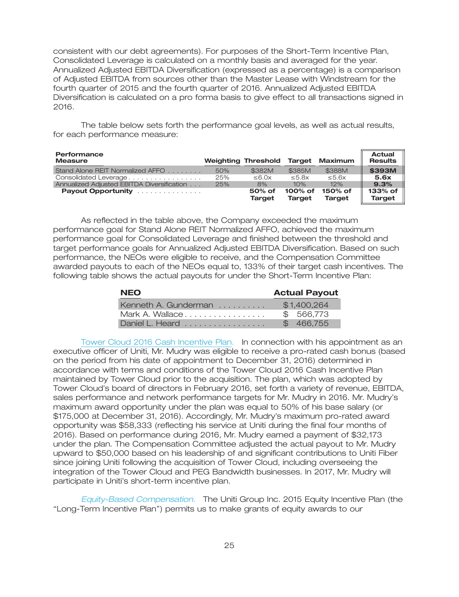consistent with our debt agreements). For purposes of the Short-Term Incentive Plan, Consolidated Leverage is calculated on a monthly basis and averaged for the year. Annualized Adjusted EBITDA Diversification (expressed as a percentage) is a comparison of Adjusted EBITDA from sources other than the Master Lease with Windstream for the fourth quarter of 2015 and the fourth quarter of 2016. Annualized Adjusted EBITDA Diversification is calculated on a pro forma basis to give effect to all transactions signed in 2016.

The table below sets forth the performance goal levels, as well as actual results, for each performance measure:

| <b>Performance</b><br><b>Measure</b>       |     | <b>Weighting Threshold</b> | Target                   | Maximum                  | Actual<br><b>Results</b> |
|--------------------------------------------|-----|----------------------------|--------------------------|--------------------------|--------------------------|
| Stand Alone REIT Normalized AFFO           | 50% | \$382M                     | \$385M                   | \$388M                   | \$393M                   |
| Consolidated Leverage                      | 25% | ≤6.0 $\times$              | $\leq 5.8x$              | ≤5.6 $×$                 | 5.6x                     |
| Annualized Adjusted EBITDA Diversification | 25% | 8%                         | 10%                      | 12%                      | 9.3%                     |
| <b>Payout Opportunity</b>                  |     | 50% of<br><b>Target</b>    | 100% of<br><b>Target</b> | 150% of<br><b>Target</b> | 133% of<br><b>Target</b> |

As reflected in the table above, the Company exceeded the maximum performance goal for Stand Alone REIT Normalized AFFO, achieved the maximum performance goal for Consolidated Leverage and finished between the threshold and target performance goals for Annualized Adjusted EBITDA Diversification. Based on such performance, the NEOs were eligible to receive, and the Compensation Committee awarded payouts to each of the NEOs equal to, 133% of their target cash incentives. The following table shows the actual payouts for under the Short-Term Incentive Plan:

| <b>NEO</b>           | <b>Actual Payout</b> |
|----------------------|----------------------|
| Kenneth A. Gunderman | \$1,400,264          |
| Mark A. Wallace      | \$ 566,773           |
| Daniel L. Heard      | \$466,755            |

Tower Cloud 2016 Cash Incentive Plan. In connection with his appointment as an executive officer of Uniti, Mr. Mudry was eligible to receive a pro-rated cash bonus (based on the period from his date of appointment to December 31, 2016) determined in accordance with terms and conditions of the Tower Cloud 2016 Cash Incentive Plan maintained by Tower Cloud prior to the acquisition. The plan, which was adopted by Tower Cloud's board of directors in February 2016, set forth a variety of revenue, EBITDA, sales performance and network performance targets for Mr. Mudry in 2016. Mr. Mudry's maximum award opportunity under the plan was equal to 50% of his base salary (or \$175,000 at December 31, 2016). Accordingly, Mr. Mudry's maximum pro-rated award opportunity was \$58,333 (reflecting his service at Uniti during the final four months of 2016). Based on performance during 2016, Mr. Mudry earned a payment of \$32,173 under the plan. The Compensation Committee adjusted the actual payout to Mr. Mudry upward to \$50,000 based on his leadership of and significant contributions to Uniti Fiber since joining Uniti following the acquisition of Tower Cloud, including overseeing the integration of the Tower Cloud and PEG Bandwidth businesses. In 2017, Mr. Mudry will participate in Uniti's short-term incentive plan.

Equity-Based Compensation. The Uniti Group Inc. 2015 Equity Incentive Plan (the ''Long-Term Incentive Plan'') permits us to make grants of equity awards to our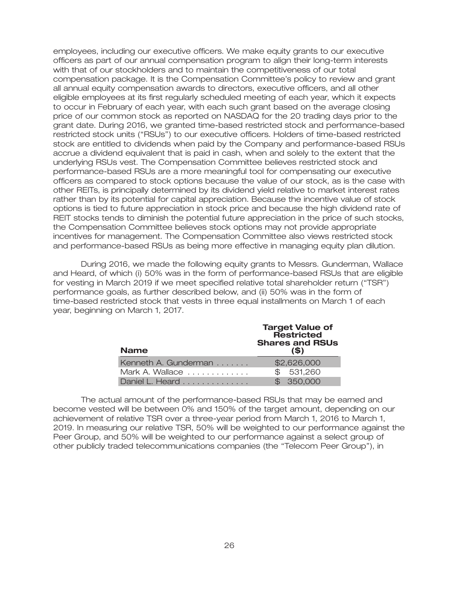employees, including our executive officers. We make equity grants to our executive officers as part of our annual compensation program to align their long-term interests with that of our stockholders and to maintain the competitiveness of our total compensation package. It is the Compensation Committee's policy to review and grant all annual equity compensation awards to directors, executive officers, and all other eligible employees at its first regularly scheduled meeting of each year, which it expects to occur in February of each year, with each such grant based on the average closing price of our common stock as reported on NASDAQ for the 20 trading days prior to the grant date. During 2016, we granted time-based restricted stock and performance-based restricted stock units (''RSUs'') to our executive officers. Holders of time-based restricted stock are entitled to dividends when paid by the Company and performance-based RSUs accrue a dividend equivalent that is paid in cash, when and solely to the extent that the underlying RSUs vest. The Compensation Committee believes restricted stock and performance-based RSUs are a more meaningful tool for compensating our executive officers as compared to stock options because the value of our stock, as is the case with other REITs, is principally determined by its dividend yield relative to market interest rates rather than by its potential for capital appreciation. Because the incentive value of stock options is tied to future appreciation in stock price and because the high dividend rate of REIT stocks tends to diminish the potential future appreciation in the price of such stocks, the Compensation Committee believes stock options may not provide appropriate incentives for management. The Compensation Committee also views restricted stock and performance-based RSUs as being more effective in managing equity plan dilution.

During 2016, we made the following equity grants to Messrs. Gunderman, Wallace and Heard, of which (i) 50% was in the form of performance-based RSUs that are eligible for vesting in March 2019 if we meet specified relative total shareholder return (''TSR'') performance goals, as further described below, and (ii) 50% was in the form of time-based restricted stock that vests in three equal installments on March 1 of each year, beginning on March 1, 2017.

| <b>Name</b>          | <b>Target Value of</b><br>Restricted<br><b>Shares and RSUs</b><br>(S) |
|----------------------|-----------------------------------------------------------------------|
| Kenneth A. Gunderman | \$2,626,000                                                           |
| Mark A. Wallace      | \$531,260                                                             |
| Daniel L. Heard      | \$350,000                                                             |

The actual amount of the performance-based RSUs that may be earned and become vested will be between 0% and 150% of the target amount, depending on our achievement of relative TSR over a three-year period from March 1, 2016 to March 1, 2019. In measuring our relative TSR, 50% will be weighted to our performance against the Peer Group, and 50% will be weighted to our performance against a select group of other publicly traded telecommunications companies (the ''Telecom Peer Group''), in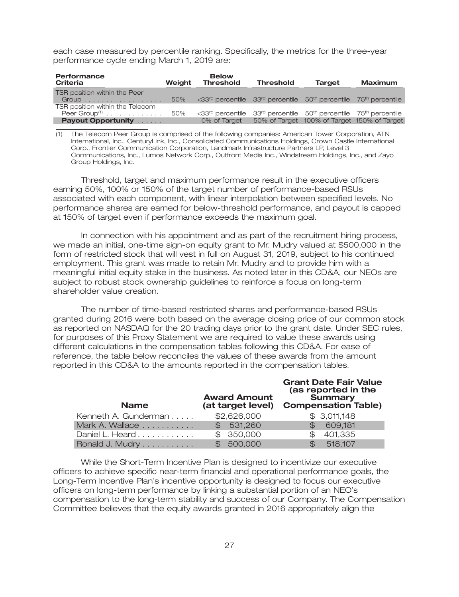each case measured by percentile ranking. Specifically, the metrics for the three-year performance cycle ending March 1, 2019 are:

| Performance<br><b>Criteria</b>                          | Weight | <b>Below</b><br><b>Threshold</b>                                                                                        | <b>Threshold</b> | <b>Target</b>                               | <b>Maximum</b> |
|---------------------------------------------------------|--------|-------------------------------------------------------------------------------------------------------------------------|------------------|---------------------------------------------|----------------|
| TSR position within the Peer                            |        |                                                                                                                         |                  |                                             |                |
|                                                         | 50%    | $\sim$ <33 <sup>rd</sup> percentile 33 <sup>rd</sup> percentile 50 <sup>th</sup> percentile 75 <sup>th</sup> percentile |                  |                                             |                |
| TSR position within the Telecom                         |        |                                                                                                                         |                  |                                             |                |
| Peer Group <sup>(1)</sup> $\ldots \ldots \ldots \ldots$ | 50%    | <33rd percentile 33rd percentile 50 <sup>th</sup> percentile 75 <sup>th</sup> percentile                                |                  |                                             |                |
| <b>Payout Opportunity Administration</b>                |        | 0% of Target                                                                                                            |                  | 50% of Target 100% of Target 150% of Target |                |

(1) The Telecom Peer Group is comprised of the following companies: American Tower Corporation, ATN International, Inc., CenturyLink, Inc., Consolidated Communications Holdings, Crown Castle International Corp., Frontier Communication Corporation, Landmark Infrastructure Partners LP, Level 3 Communications, Inc., Lumos Network Corp., Outfront Media Inc., Windstream Holdings, Inc., and Zayo Group Holdings, Inc.

Threshold, target and maximum performance result in the executive officers earning 50%, 100% or 150% of the target number of performance-based RSUs associated with each component, with linear interpolation between specified levels. No performance shares are earned for below-threshold performance, and payout is capped at 150% of target even if performance exceeds the maximum goal.

In connection with his appointment and as part of the recruitment hiring process, we made an initial, one-time sign-on equity grant to Mr. Mudry valued at \$500,000 in the form of restricted stock that will vest in full on August 31, 2019, subject to his continued employment. This grant was made to retain Mr. Mudry and to provide him with a meaningful initial equity stake in the business. As noted later in this CD&A, our NEOs are subject to robust stock ownership guidelines to reinforce a focus on long-term shareholder value creation.

The number of time-based restricted shares and performance-based RSUs granted during 2016 were both based on the average closing price of our common stock as reported on NASDAQ for the 20 trading days prior to the grant date. Under SEC rules, for purposes of this Proxy Statement we are required to value these awards using different calculations in the compensation tables following this CD&A. For ease of reference, the table below reconciles the values of these awards from the amount reported in this CD&A to the amounts reported in the compensation tables.

| <b>Name</b>          | <b>Award Amount</b><br>(at target level) | <b>Grant Date Fair Value</b><br>(as reported in the<br><b>Summary</b><br><b>Compensation Table)</b> |  |  |
|----------------------|------------------------------------------|-----------------------------------------------------------------------------------------------------|--|--|
| Kenneth A. Gunderman | \$2,626,000                              | \$3,011,148                                                                                         |  |  |
| Mark A. Wallace      | \$531,260                                | 609,181                                                                                             |  |  |
| Daniel L. Heard      | \$350,000                                | 401,335                                                                                             |  |  |
| Ronald J. Mudry      | \$500,000                                | 518,107<br>\$.                                                                                      |  |  |

While the Short-Term Incentive Plan is designed to incentivize our executive officers to achieve specific near-term financial and operational performance goals, the Long-Term Incentive Plan's incentive opportunity is designed to focus our executive officers on long-term performance by linking a substantial portion of an NEO's compensation to the long-term stability and success of our Company. The Compensation Committee believes that the equity awards granted in 2016 appropriately align the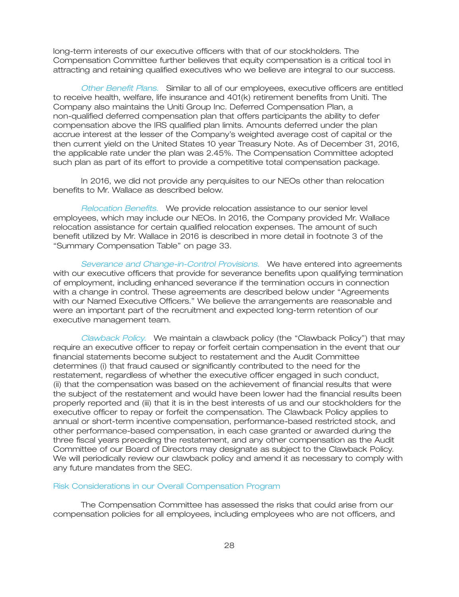long-term interests of our executive officers with that of our stockholders. The Compensation Committee further believes that equity compensation is a critical tool in attracting and retaining qualified executives who we believe are integral to our success.

Other Benefit Plans. Similar to all of our employees, executive officers are entitled to receive health, welfare, life insurance and 401(k) retirement benefits from Uniti. The Company also maintains the Uniti Group Inc. Deferred Compensation Plan, a non-qualified deferred compensation plan that offers participants the ability to defer compensation above the IRS qualified plan limits. Amounts deferred under the plan accrue interest at the lesser of the Company's weighted average cost of capital or the then current yield on the United States 10 year Treasury Note. As of December 31, 2016, the applicable rate under the plan was 2.45%. The Compensation Committee adopted such plan as part of its effort to provide a competitive total compensation package.

In 2016, we did not provide any perquisites to our NEOs other than relocation benefits to Mr. Wallace as described below.

Relocation Benefits. We provide relocation assistance to our senior level employees, which may include our NEOs. In 2016, the Company provided Mr. Wallace relocation assistance for certain qualified relocation expenses. The amount of such benefit utilized by Mr. Wallace in 2016 is described in more detail in footnote 3 of the ''Summary Compensation Table'' on page 33.

Severance and Change-in-Control Provisions. We have entered into agreements with our executive officers that provide for severance benefits upon qualifying termination of employment, including enhanced severance if the termination occurs in connection with a change in control. These agreements are described below under ''Agreements with our Named Executive Officers.'' We believe the arrangements are reasonable and were an important part of the recruitment and expected long-term retention of our executive management team.

Clawback Policy. We maintain a clawback policy (the "Clawback Policy") that may require an executive officer to repay or forfeit certain compensation in the event that our financial statements become subject to restatement and the Audit Committee determines (i) that fraud caused or significantly contributed to the need for the restatement, regardless of whether the executive officer engaged in such conduct, (ii) that the compensation was based on the achievement of financial results that were the subject of the restatement and would have been lower had the financial results been properly reported and (iii) that it is in the best interests of us and our stockholders for the executive officer to repay or forfeit the compensation. The Clawback Policy applies to annual or short-term incentive compensation, performance-based restricted stock, and other performance-based compensation, in each case granted or awarded during the three fiscal years preceding the restatement, and any other compensation as the Audit Committee of our Board of Directors may designate as subject to the Clawback Policy. We will periodically review our clawback policy and amend it as necessary to comply with any future mandates from the SEC.

#### Risk Considerations in our Overall Compensation Program

The Compensation Committee has assessed the risks that could arise from our compensation policies for all employees, including employees who are not officers, and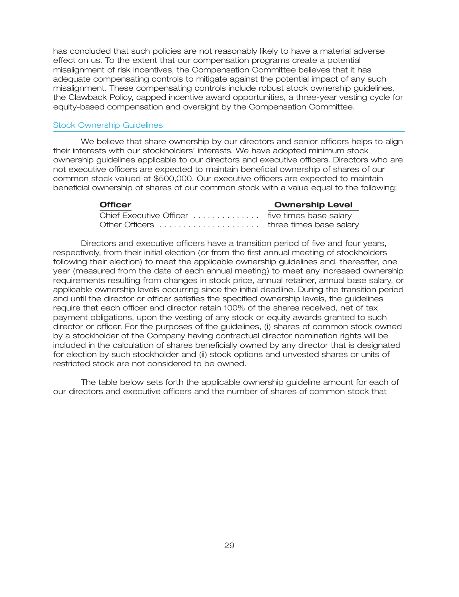has concluded that such policies are not reasonably likely to have a material adverse effect on us. To the extent that our compensation programs create a potential misalignment of risk incentives, the Compensation Committee believes that it has adequate compensating controls to mitigate against the potential impact of any such misalignment. These compensating controls include robust stock ownership guidelines, the Clawback Policy, capped incentive award opportunities, a three-year vesting cycle for equity-based compensation and oversight by the Compensation Committee.

#### Stock Ownership Guidelines

We believe that share ownership by our directors and senior officers helps to align their interests with our stockholders' interests. We have adopted minimum stock ownership guidelines applicable to our directors and executive officers. Directors who are not executive officers are expected to maintain beneficial ownership of shares of our common stock valued at \$500,000. Our executive officers are expected to maintain beneficial ownership of shares of our common stock with a value equal to the following:

#### **Officer Ownership Level**

| Chief Executive Officer  five times base salary |  |
|-------------------------------------------------|--|
|                                                 |  |

Directors and executive officers have a transition period of five and four years, respectively, from their initial election (or from the first annual meeting of stockholders following their election) to meet the applicable ownership guidelines and, thereafter, one year (measured from the date of each annual meeting) to meet any increased ownership requirements resulting from changes in stock price, annual retainer, annual base salary, or applicable ownership levels occurring since the initial deadline. During the transition period and until the director or officer satisfies the specified ownership levels, the guidelines require that each officer and director retain 100% of the shares received, net of tax payment obligations, upon the vesting of any stock or equity awards granted to such director or officer. For the purposes of the guidelines, (i) shares of common stock owned by a stockholder of the Company having contractual director nomination rights will be included in the calculation of shares beneficially owned by any director that is designated for election by such stockholder and (ii) stock options and unvested shares or units of restricted stock are not considered to be owned.

The table below sets forth the applicable ownership guideline amount for each of our directors and executive officers and the number of shares of common stock that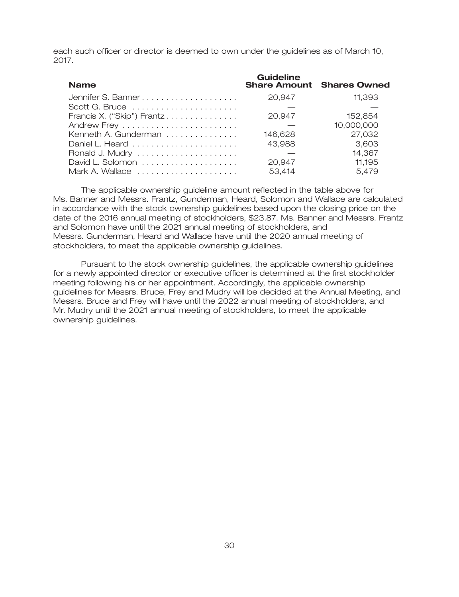each such officer or director is deemed to own under the guidelines as of March 10, 2017.

| <b>Name</b>                | <b>Guideline</b> | <b>Share Amount Shares Owned</b> |
|----------------------------|------------------|----------------------------------|
| Jennifer S. Banner         | 20,947           | 11,393                           |
| Scott G. Bruce             |                  |                                  |
| Francis X. ("Skip") Frantz | 20,947           | 152.854                          |
|                            |                  | 10,000,000                       |
| Kenneth A. Gunderman       | 146,628          | 27,032                           |
| Daniel L. Heard            | 43.988           | 3,603                            |
|                            |                  | 14,367                           |
|                            | 20,947           | 11,195                           |
| Mark A. Wallace            | 53,414           | 5.479                            |

The applicable ownership guideline amount reflected in the table above for Ms. Banner and Messrs. Frantz, Gunderman, Heard, Solomon and Wallace are calculated in accordance with the stock ownership guidelines based upon the closing price on the date of the 2016 annual meeting of stockholders, \$23.87. Ms. Banner and Messrs. Frantz and Solomon have until the 2021 annual meeting of stockholders, and Messrs. Gunderman, Heard and Wallace have until the 2020 annual meeting of stockholders, to meet the applicable ownership guidelines.

Pursuant to the stock ownership guidelines, the applicable ownership guidelines for a newly appointed director or executive officer is determined at the first stockholder meeting following his or her appointment. Accordingly, the applicable ownership guidelines for Messrs. Bruce, Frey and Mudry will be decided at the Annual Meeting, and Messrs. Bruce and Frey will have until the 2022 annual meeting of stockholders, and Mr. Mudry until the 2021 annual meeting of stockholders, to meet the applicable ownership guidelines.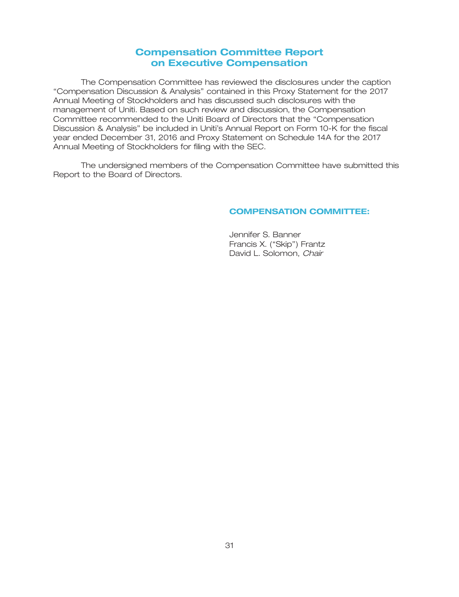# **Compensation Committee Report on Executive Compensation**

The Compensation Committee has reviewed the disclosures under the caption ''Compensation Discussion & Analysis'' contained in this Proxy Statement for the 2017 Annual Meeting of Stockholders and has discussed such disclosures with the management of Uniti. Based on such review and discussion, the Compensation Committee recommended to the Uniti Board of Directors that the ''Compensation Discussion & Analysis'' be included in Uniti's Annual Report on Form 10-K for the fiscal year ended December 31, 2016 and Proxy Statement on Schedule 14A for the 2017 Annual Meeting of Stockholders for filing with the SEC.

The undersigned members of the Compensation Committee have submitted this Report to the Board of Directors.

# **COMPENSATION COMMITTEE:**

Jennifer S. Banner Francis X. ("Skip") Frantz David L. Solomon, *Chair*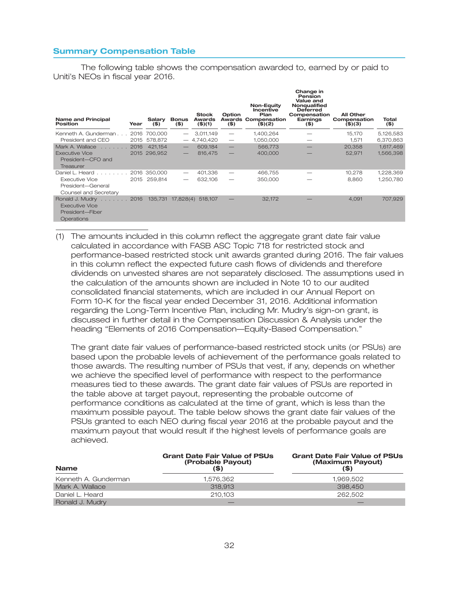#### **Summary Compensation Table**

The following table shows the compensation awarded to, earned by or paid to Uniti's NEOs in fiscal year 2016.

| <b>Name and Principal</b><br>Position                                          | Year | Salarv<br>$($ \$) | <b>Bonus</b><br>$($ \$) | <b>Stock</b><br>Awards<br>$($ \$)(1) | Option<br>$($ \$)        | Non-Equity<br><b>Incentive</b><br>Plan<br><b>Awards Compensation</b><br>$($ \$)(2) | Change in<br>Pension<br>Value and<br>Nonqualified<br>Deferred<br>Compensation<br>Earnings<br>$($ \$) | <b>All Other</b><br>Compensation<br>$($ \$) $($ 3) | Total<br>$($ \$) |
|--------------------------------------------------------------------------------|------|-------------------|-------------------------|--------------------------------------|--------------------------|------------------------------------------------------------------------------------|------------------------------------------------------------------------------------------------------|----------------------------------------------------|------------------|
| Kenneth A. Gunderman                                                           |      | 2016 700,000      |                         | 3.011.149                            |                          | 1,400,264                                                                          |                                                                                                      | 15.170                                             | 5,126,583        |
| President and CEO                                                              | 2015 | 578.872           |                         | $-4.740.420$                         | $\overline{\phantom{0}}$ | 1,050,000                                                                          |                                                                                                      | 1.571                                              | 6,370,863        |
| Mark A. Wallace                                                                | 2016 | 421.154           |                         | 609.184                              |                          | 566,773                                                                            |                                                                                                      | 20.358                                             | 1,617,469        |
| <b>Executive Vice</b><br>President-CFO and<br>Treasurer                        |      | 2015 296,952      | $\qquad \qquad -$       | 816,475                              |                          | 400,000                                                                            |                                                                                                      | 52,971                                             | 1,566,398        |
| Daniel L. Heard $\ldots$ , $\ldots$                                            |      | 2016 350,000      | $\qquad \qquad$         | 401,336                              |                          | 466,755                                                                            |                                                                                                      | 10,278                                             | 1,228,369        |
| <b>Executive Vice</b><br>President-General<br>Counsel and Secretary            |      | 2015 259.814      |                         | 632,106                              |                          | 350,000                                                                            |                                                                                                      | 8,860                                              | 1,250,780        |
| Ronald J. Mudry 2016<br><b>Executive Vice</b><br>President-Fiber<br>Operations |      | 135.731           | 17.828(4)               | 518,107                              |                          | 32.172                                                                             |                                                                                                      | 4.091                                              | 707,929          |

(1) The amounts included in this column reflect the aggregate grant date fair value calculated in accordance with FASB ASC Topic 718 for restricted stock and performance-based restricted stock unit awards granted during 2016. The fair values in this column reflect the expected future cash flows of dividends and therefore dividends on unvested shares are not separately disclosed. The assumptions used in the calculation of the amounts shown are included in Note 10 to our audited consolidated financial statements, which are included in our Annual Report on Form 10-K for the fiscal year ended December 31, 2016. Additional information regarding the Long-Term Incentive Plan, including Mr. Mudry's sign-on grant, is discussed in further detail in the Compensation Discussion & Analysis under the heading ''Elements of 2016 Compensation—Equity-Based Compensation.''

The grant date fair values of performance-based restricted stock units (or PSUs) are based upon the probable levels of achievement of the performance goals related to those awards. The resulting number of PSUs that vest, if any, depends on whether we achieve the specified level of performance with respect to the performance measures tied to these awards. The grant date fair values of PSUs are reported in the table above at target payout, representing the probable outcome of performance conditions as calculated at the time of grant, which is less than the maximum possible payout. The table below shows the grant date fair values of the PSUs granted to each NEO during fiscal year 2016 at the probable payout and the maximum payout that would result if the highest levels of performance goals are achieved.

| <b>Name</b>          | <b>Grant Date Fair Value of PSUs</b><br>(Probable Payout) | <b>Grant Date Fair Value of PSUs</b><br>(Maximum Payout) |
|----------------------|-----------------------------------------------------------|----------------------------------------------------------|
| Kenneth A. Gunderman | 1,576,362                                                 | 1,969,502                                                |
| Mark A. Wallace      | 318,913                                                   | 398,450                                                  |
| Daniel L. Heard      | 210.103                                                   | 262,502                                                  |
| Ronald J. Mudry      |                                                           |                                                          |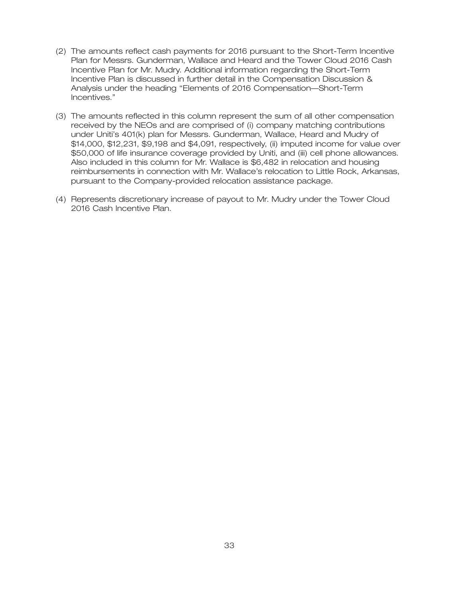- (2) The amounts reflect cash payments for 2016 pursuant to the Short-Term Incentive Plan for Messrs. Gunderman, Wallace and Heard and the Tower Cloud 2016 Cash Incentive Plan for Mr. Mudry. Additional information regarding the Short-Term Incentive Plan is discussed in further detail in the Compensation Discussion & Analysis under the heading ''Elements of 2016 Compensation—Short-Term Incentives.''
- (3) The amounts reflected in this column represent the sum of all other compensation received by the NEOs and are comprised of (i) company matching contributions under Uniti's 401(k) plan for Messrs. Gunderman, Wallace, Heard and Mudry of \$14,000, \$12,231, \$9,198 and \$4,091, respectively, (ii) imputed income for value over \$50,000 of life insurance coverage provided by Uniti, and (iii) cell phone allowances. Also included in this column for Mr. Wallace is \$6,482 in relocation and housing reimbursements in connection with Mr. Wallace's relocation to Little Rock, Arkansas, pursuant to the Company-provided relocation assistance package.
- (4) Represents discretionary increase of payout to Mr. Mudry under the Tower Cloud 2016 Cash Incentive Plan.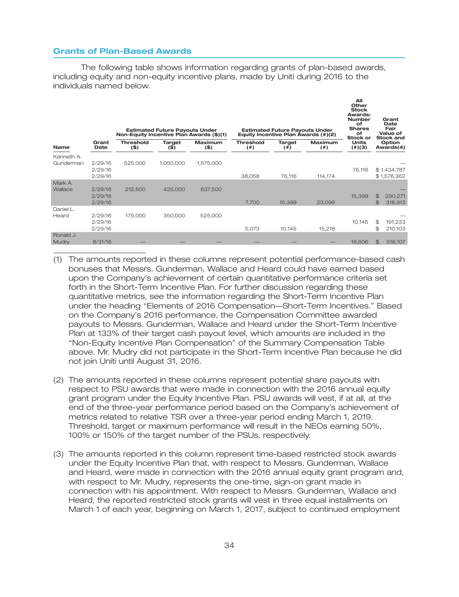# **Grants of Plan-Based Awards**

The following table shows information regarding grants of plan-based awards, including equity and non-equity incentive plans, made by Uniti during 2016 to the individuals named below.

|                         |                               |                             | <b>Estimated Future Payouts Under</b> | Non-Equity Incentive Plan Awards (\$)(1) |                            | <b>Estimated Future Payouts Under</b> | Equity Incentive Plan Awards (#)(2) | All<br>Other<br><b>Stock</b><br>Awards:<br><b>Number</b><br>of<br><b>Shares</b><br>of<br>Stock or | Grant<br><b>Date</b><br>Fair<br>Value of<br><b>Stock and</b> |
|-------------------------|-------------------------------|-----------------------------|---------------------------------------|------------------------------------------|----------------------------|---------------------------------------|-------------------------------------|---------------------------------------------------------------------------------------------------|--------------------------------------------------------------|
| Name                    | Grant<br>Date                 | <b>Threshold</b><br>$($ \$) | Target<br>(\$)                        | Maximum<br>$($ \$)                       | <b>Threshold</b><br>(  # ) | Target<br>$($ #)                      | Maximum<br>(  # )                   | <b>Units</b><br>(4)(3)                                                                            | Option<br>Awards(4)                                          |
| Kenneth A.<br>Gunderman | 2/29/16<br>2/29/16<br>2/29/16 | 525,000                     | 1,050,000                             | 1,575,000                                | 38,058                     | 76,116                                | 114,174                             | 76,116                                                                                            | \$1,434,787<br>\$1,576,362                                   |
| Mark A.<br>Wallace      | 2/29/16<br>2/29/16<br>2/29/16 | 212,500                     | 425,000                               | 637,500                                  | 7.700                      | 15,399                                | 23,099                              | 15,399                                                                                            | $\mathfrak{P}$<br>290,271<br>$\mathfrak{B}$<br>318,913       |
| Daniel L.<br>Heard      | 2/29/16<br>2/29/16<br>2/29/16 | 175,000                     | 350,000                               | 525,000                                  | 5,073                      | 10,145                                | 15,218                              | 10,145                                                                                            | \$<br>191,233<br>\$<br>210,103                               |
| Ronald J.<br>Mudry      | 8/31/16                       |                             |                                       |                                          |                            |                                       |                                     | 16,606                                                                                            | 518,107<br>$\mathfrak{S}$                                    |

- (1) The amounts reported in these columns represent potential performance-based cash bonuses that Messrs. Gunderman, Wallace and Heard could have earned based upon the Company's achievement of certain quantitative performance criteria set forth in the Short-Term Incentive Plan. For further discussion regarding these quantitative metrics, see the information regarding the Short-Term Incentive Plan under the heading ''Elements of 2016 Compensation—Short-Term Incentives.'' Based on the Company's 2016 performance, the Compensation Committee awarded payouts to Messrs. Gunderman, Wallace and Heard under the Short-Term Incentive Plan at 133% of their target cash payout level, which amounts are included in the ''Non-Equity Incentive Plan Compensation'' of the Summary Compensation Table above. Mr. Mudry did not participate in the Short-Term Incentive Plan because he did not join Uniti until August 31, 2016.
- (2) The amounts reported in these columns represent potential share payouts with respect to PSU awards that were made in connection with the 2016 annual equity grant program under the Equity Incentive Plan. PSU awards will vest, if at all, at the end of the three-year performance period based on the Company's achievement of metrics related to relative TSR over a three-year period ending March 1, 2019. Threshold, target or maximum performance will result in the NEOs earning 50%, 100% or 150% of the target number of the PSUs, respectively.
- (3) The amounts reported in this column represent time-based restricted stock awards under the Equity Incentive Plan that, with respect to Messrs. Gunderman, Wallace and Heard, were made in connection with the 2016 annual equity grant program and, with respect to Mr. Mudry, represents the one-time, sign-on grant made in connection with his appointment. With respect to Messrs. Gunderman, Wallace and Heard, the reported restricted stock grants will vest in three equal installments on March 1 of each year, beginning on March 1, 2017, subject to continued employment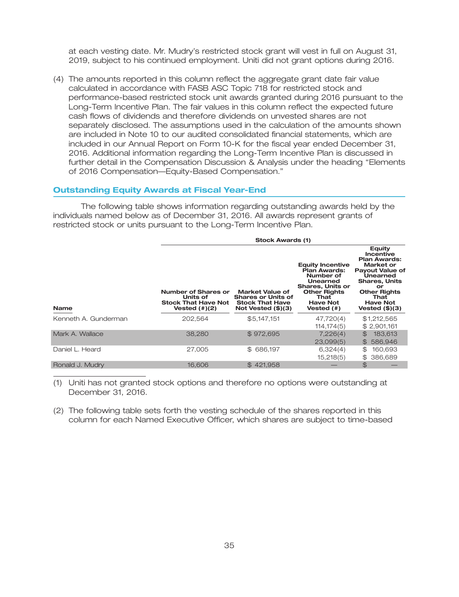at each vesting date. Mr. Mudry's restricted stock grant will vest in full on August 31, 2019, subject to his continued employment. Uniti did not grant options during 2016.

(4) The amounts reported in this column reflect the aggregate grant date fair value calculated in accordance with FASB ASC Topic 718 for restricted stock and performance-based restricted stock unit awards granted during 2016 pursuant to the Long-Term Incentive Plan. The fair values in this column reflect the expected future cash flows of dividends and therefore dividends on unvested shares are not separately disclosed. The assumptions used in the calculation of the amounts shown are included in Note 10 to our audited consolidated financial statements, which are included in our Annual Report on Form 10-K for the fiscal year ended December 31, 2016. Additional information regarding the Long-Term Incentive Plan is discussed in further detail in the Compensation Discussion & Analysis under the heading ''Elements of 2016 Compensation—Equity-Based Compensation.''

#### **Outstanding Equity Awards at Fiscal Year-End**

The following table shows information regarding outstanding awards held by the individuals named below as of December 31, 2016. All awards represent grants of restricted stock or units pursuant to the Long-Term Incentive Plan.

|                      |                                                                                   | <b>Stock Awards (1)</b>                                                                        |                                                                                                                                                             |                                                                                                                                                                                                                 |  |
|----------------------|-----------------------------------------------------------------------------------|------------------------------------------------------------------------------------------------|-------------------------------------------------------------------------------------------------------------------------------------------------------------|-----------------------------------------------------------------------------------------------------------------------------------------------------------------------------------------------------------------|--|
| <b>Name</b>          | Number of Shares or<br>Units of<br><b>Stock That Have Not</b><br>Vested $(\#)(2)$ | Market Value of<br><b>Shares or Units of</b><br><b>Stock That Have</b><br>Not Vested $(\$)(3)$ | <b>Equity Incentive</b><br>Plan Awards:<br>Number of<br>Unearned<br><b>Shares, Units or</b><br><b>Other Rights</b><br>That<br><b>Have Not</b><br>Vested (#) | <b>Equity</b><br><b>Incentive</b><br><b>Plan Awards:</b><br>Market or<br><b>Payout Value of</b><br>Unearned<br><b>Shares, Units</b><br>or<br><b>Other Rights</b><br>That<br><b>Have Not</b><br>Vested $(\$)(3)$ |  |
| Kenneth A. Gunderman | 202,564                                                                           | \$5,147,151                                                                                    | 47,720(4)<br>114, 174(5)                                                                                                                                    | \$1,212,565<br>\$2,901,161                                                                                                                                                                                      |  |
| Mark A. Wallace      | 38,280                                                                            | \$972,695                                                                                      | 7,226(4)<br>23,099(5)                                                                                                                                       | 183,613<br>$\mathfrak{P}$<br>\$586,946                                                                                                                                                                          |  |
| Daniel L. Heard      | 27,005                                                                            | \$ 686,197                                                                                     | 6,324(4)<br>15,218(5)                                                                                                                                       | 160,693<br>\$.<br>386,689<br>\$                                                                                                                                                                                 |  |
| Ronald J. Mudry      | 16,606                                                                            | \$421,958                                                                                      |                                                                                                                                                             | $\mathfrak{P}$                                                                                                                                                                                                  |  |

(1) Uniti has not granted stock options and therefore no options were outstanding at December 31, 2016.

(2) The following table sets forth the vesting schedule of the shares reported in this column for each Named Executive Officer, which shares are subject to time-based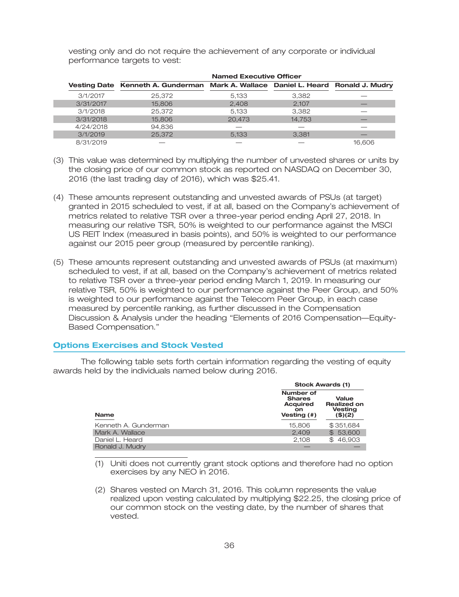vesting only and do not require the achievement of any corporate or individual performance targets to vest:

|           | <b>Named Executive Officer</b>                                                    |        |        |        |  |  |  |  |
|-----------|-----------------------------------------------------------------------------------|--------|--------|--------|--|--|--|--|
|           | Vesting Date Kenneth A. Gunderman Mark A. Wallace Daniel L. Heard Ronald J. Mudry |        |        |        |  |  |  |  |
| 3/1/2017  | 25.372                                                                            | 5.133  | 3.382  |        |  |  |  |  |
| 3/31/2017 | 15,806                                                                            | 2,408  | 2.107  |        |  |  |  |  |
| 3/1/2018  | 25,372                                                                            | 5.133  | 3.382  |        |  |  |  |  |
| 3/31/2018 | 15,806                                                                            | 20.473 | 14.753 |        |  |  |  |  |
| 4/24/2018 | 94.836                                                                            |        |        |        |  |  |  |  |
| 3/1/2019  | 25,372                                                                            | 5.133  | 3.381  |        |  |  |  |  |
| 8/31/2019 |                                                                                   |        |        | 16.606 |  |  |  |  |

- (3) This value was determined by multiplying the number of unvested shares or units by the closing price of our common stock as reported on NASDAQ on December 30, 2016 (the last trading day of 2016), which was \$25.41.
- (4) These amounts represent outstanding and unvested awards of PSUs (at target) granted in 2015 scheduled to vest, if at all, based on the Company's achievement of metrics related to relative TSR over a three-year period ending April 27, 2018. In measuring our relative TSR, 50% is weighted to our performance against the MSCI US REIT Index (measured in basis points), and 50% is weighted to our performance against our 2015 peer group (measured by percentile ranking).
- (5) These amounts represent outstanding and unvested awards of PSUs (at maximum) scheduled to vest, if at all, based on the Company's achievement of metrics related to relative TSR over a three-year period ending March 1, 2019. In measuring our relative TSR, 50% is weighted to our performance against the Peer Group, and 50% is weighted to our performance against the Telecom Peer Group, in each case measured by percentile ranking, as further discussed in the Compensation Discussion & Analysis under the heading ''Elements of 2016 Compensation—Equity-Based Compensation.''

# **Options Exercises and Stock Vested**

The following table sets forth certain information regarding the vesting of equity awards held by the individuals named below during 2016.

|                      |                                                                    | <b>Stock Awards (1)</b>                                  |
|----------------------|--------------------------------------------------------------------|----------------------------------------------------------|
| <b>Name</b>          | Number of<br><b>Shares</b><br><b>Acquired</b><br>on<br>Vesting (#) | Value<br><b>Realized on</b><br><b>Vesting</b><br>(\$)(2) |
| Kenneth A. Gunderman | 15,806                                                             | \$351,684                                                |
| Mark A. Wallace      | 2.409                                                              | \$53,600                                                 |
| Daniel L. Heard      | 2.108                                                              | \$46,903                                                 |
| Ronald J. Mudry      |                                                                    |                                                          |

- (1) Uniti does not currently grant stock options and therefore had no option exercises by any NEO in 2016.
- (2) Shares vested on March 31, 2016. This column represents the value realized upon vesting calculated by multiplying \$22.25, the closing price of our common stock on the vesting date, by the number of shares that vested.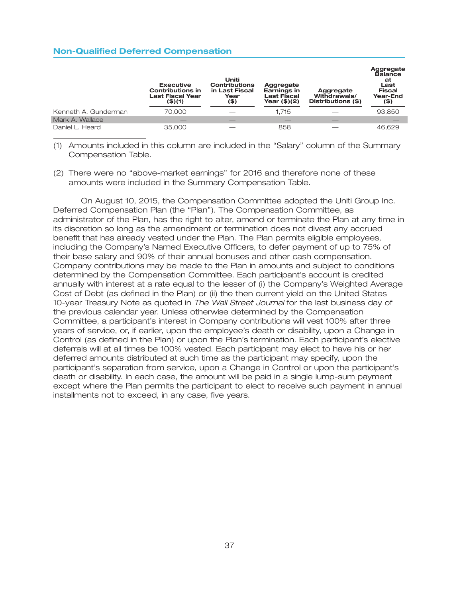## **Non-Qualified Deferred Compensation**

|                      | <b>Executive</b><br><b>Contributions in</b><br><b>Last Fiscal Year</b><br>(\$)(1) | Uniti<br><b>Contributions</b><br>in Last Fiscal<br>Year<br>(\$) | Aggregate<br>Earnings in<br><b>Last Fiscal</b><br>Year $($)(2)$ | Aggregate<br>Withdrawals/<br>Distributions (\$) | Aggregate<br><b>Balance</b><br>at<br>Last<br><b>Fiscal</b><br>Year-End<br>(\$) |
|----------------------|-----------------------------------------------------------------------------------|-----------------------------------------------------------------|-----------------------------------------------------------------|-------------------------------------------------|--------------------------------------------------------------------------------|
| Kenneth A. Gunderman | 70,000                                                                            |                                                                 | 1.715                                                           |                                                 | 93,850                                                                         |
| Mark A. Wallace      |                                                                                   |                                                                 |                                                                 |                                                 |                                                                                |
| Daniel L. Heard      | 35,000                                                                            |                                                                 | 858                                                             |                                                 | 46,629                                                                         |

(1) Amounts included in this column are included in the ''Salary'' column of the Summary Compensation Table.

(2) There were no ''above-market earnings'' for 2016 and therefore none of these amounts were included in the Summary Compensation Table.

On August 10, 2015, the Compensation Committee adopted the Uniti Group Inc. Deferred Compensation Plan (the ''Plan''). The Compensation Committee, as administrator of the Plan, has the right to alter, amend or terminate the Plan at any time in its discretion so long as the amendment or termination does not divest any accrued benefit that has already vested under the Plan. The Plan permits eligible employees, including the Company's Named Executive Officers, to defer payment of up to 75% of their base salary and 90% of their annual bonuses and other cash compensation. Company contributions may be made to the Plan in amounts and subject to conditions determined by the Compensation Committee. Each participant's account is credited annually with interest at a rate equal to the lesser of (i) the Company's Weighted Average Cost of Debt (as defined in the Plan) or (ii) the then current yield on the United States 10-year Treasury Note as quoted in *The Wall Street Journal* for the last business day of the previous calendar year. Unless otherwise determined by the Compensation Committee, a participant's interest in Company contributions will vest 100% after three years of service, or, if earlier, upon the employee's death or disability, upon a Change in Control (as defined in the Plan) or upon the Plan's termination. Each participant's elective deferrals will at all times be 100% vested. Each participant may elect to have his or her deferred amounts distributed at such time as the participant may specify, upon the participant's separation from service, upon a Change in Control or upon the participant's death or disability. In each case, the amount will be paid in a single lump-sum payment except where the Plan permits the participant to elect to receive such payment in annual installments not to exceed, in any case, five years.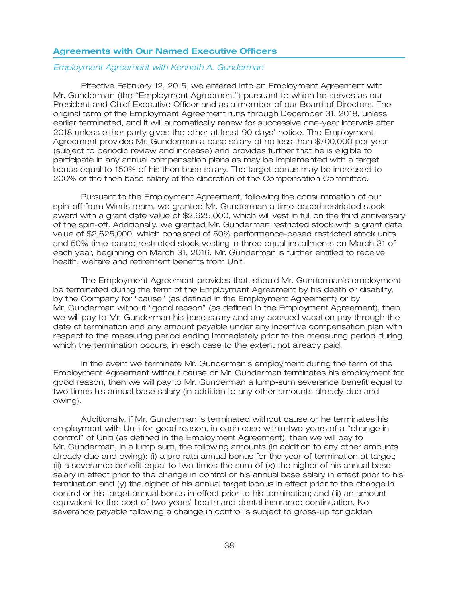# **Agreements with Our Named Executive Officers**

#### *Employment Agreement with Kenneth A. Gunderman*

Effective February 12, 2015, we entered into an Employment Agreement with Mr. Gunderman (the ''Employment Agreement'') pursuant to which he serves as our President and Chief Executive Officer and as a member of our Board of Directors. The original term of the Employment Agreement runs through December 31, 2018, unless earlier terminated, and it will automatically renew for successive one-year intervals after 2018 unless either party gives the other at least 90 days' notice. The Employment Agreement provides Mr. Gunderman a base salary of no less than \$700,000 per year (subject to periodic review and increase) and provides further that he is eligible to participate in any annual compensation plans as may be implemented with a target bonus equal to 150% of his then base salary. The target bonus may be increased to 200% of the then base salary at the discretion of the Compensation Committee.

Pursuant to the Employment Agreement, following the consummation of our spin-off from Windstream, we granted Mr. Gunderman a time-based restricted stock award with a grant date value of \$2,625,000, which will vest in full on the third anniversary of the spin-off. Additionally, we granted Mr. Gunderman restricted stock with a grant date value of \$2,625,000, which consisted of 50% performance-based restricted stock units and 50% time-based restricted stock vesting in three equal installments on March 31 of each year, beginning on March 31, 2016. Mr. Gunderman is further entitled to receive health, welfare and retirement benefits from Uniti.

The Employment Agreement provides that, should Mr. Gunderman's employment be terminated during the term of the Employment Agreement by his death or disability, by the Company for ''cause'' (as defined in the Employment Agreement) or by Mr. Gunderman without ''good reason'' (as defined in the Employment Agreement), then we will pay to Mr. Gunderman his base salary and any accrued vacation pay through the date of termination and any amount payable under any incentive compensation plan with respect to the measuring period ending immediately prior to the measuring period during which the termination occurs, in each case to the extent not already paid.

In the event we terminate Mr. Gunderman's employment during the term of the Employment Agreement without cause or Mr. Gunderman terminates his employment for good reason, then we will pay to Mr. Gunderman a lump-sum severance benefit equal to two times his annual base salary (in addition to any other amounts already due and owing).

Additionally, if Mr. Gunderman is terminated without cause or he terminates his employment with Uniti for good reason, in each case within two years of a ''change in control'' of Uniti (as defined in the Employment Agreement), then we will pay to Mr. Gunderman, in a lump sum, the following amounts (in addition to any other amounts already due and owing): (i) a pro rata annual bonus for the year of termination at target;  $(iii)$  a severance benefit equal to two times the sum of  $(x)$  the higher of his annual base salary in effect prior to the change in control or his annual base salary in effect prior to his termination and (y) the higher of his annual target bonus in effect prior to the change in control or his target annual bonus in effect prior to his termination; and (iii) an amount equivalent to the cost of two years' health and dental insurance continuation. No severance payable following a change in control is subject to gross-up for golden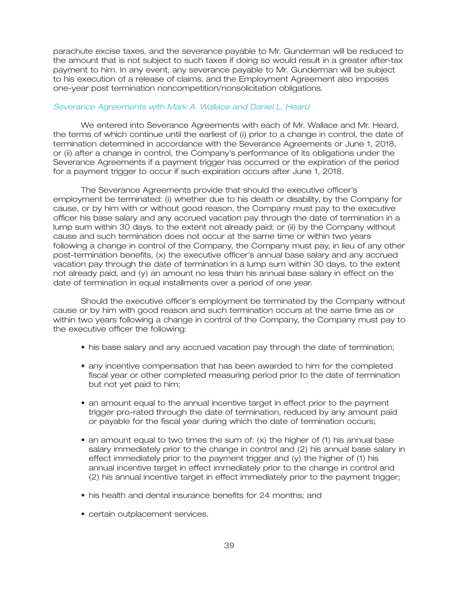parachute excise taxes, and the severance payable to Mr. Gunderman will be reduced to the amount that is not subject to such taxes if doing so would result in a greater after-tax payment to him. In any event, any severance payable to Mr. Gunderman will be subject to his execution of a release of claims, and the Employment Agreement also imposes one-year post termination noncompetition/nonsolicitation obligations.

## *Severance Agreements with Mark A. Wallace and Daniel L. Heard*

We entered into Severance Agreements with each of Mr. Wallace and Mr. Heard. the terms of which continue until the earliest of (i) prior to a change in control, the date of termination determined in accordance with the Severance Agreements or June 1, 2018, or (ii) after a change in control, the Company's performance of its obligations under the Severance Agreements if a payment trigger has occurred or the expiration of the period for a payment trigger to occur if such expiration occurs after June 1, 2018.

The Severance Agreements provide that should the executive officer's employment be terminated: (i) whether due to his death or disability, by the Company for cause, or by him with or without good reason, the Company must pay to the executive officer his base salary and any accrued vacation pay through the date of termination in a lump sum within 30 days, to the extent not already paid; or (ii) by the Company without cause and such termination does not occur at the same time or within two years following a change in control of the Company, the Company must pay, in lieu of any other post-termination benefits, (x) the executive officer's annual base salary and any accrued vacation pay through the date of termination in a lump sum within 30 days, to the extent not already paid, and (y) an amount no less than his annual base salary in effect on the date of termination in equal installments over a period of one year.

Should the executive officer's employment be terminated by the Company without cause or by him with good reason and such termination occurs at the same time as or within two years following a change in control of the Company, the Company must pay to the executive officer the following:

- his base salary and any accrued vacation pay through the date of termination;
- any incentive compensation that has been awarded to him for the completed fiscal year or other completed measuring period prior to the date of termination but not yet paid to him;
- an amount equal to the annual incentive target in effect prior to the payment trigger pro-rated through the date of termination, reduced by any amount paid or payable for the fiscal year during which the date of termination occurs;
- an amount equal to two times the sum of: (x) the higher of (1) his annual base salary immediately prior to the change in control and (2) his annual base salary in effect immediately prior to the payment trigger and (y) the higher of (1) his annual incentive target in effect immediately prior to the change in control and (2) his annual incentive target in effect immediately prior to the payment trigger;
- his health and dental insurance benefits for 24 months; and
- certain outplacement services.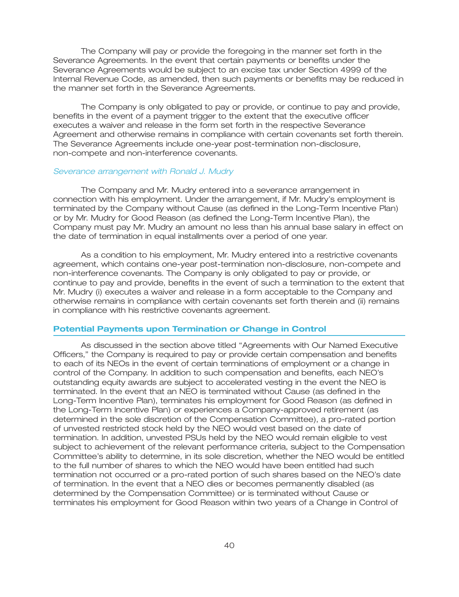The Company will pay or provide the foregoing in the manner set forth in the Severance Agreements. In the event that certain payments or benefits under the Severance Agreements would be subject to an excise tax under Section 4999 of the Internal Revenue Code, as amended, then such payments or benefits may be reduced in the manner set forth in the Severance Agreements.

The Company is only obligated to pay or provide, or continue to pay and provide, benefits in the event of a payment trigger to the extent that the executive officer executes a waiver and release in the form set forth in the respective Severance Agreement and otherwise remains in compliance with certain covenants set forth therein. The Severance Agreements include one-year post-termination non-disclosure, non-compete and non-interference covenants.

#### *Severance arrangement with Ronald J. Mudry*

The Company and Mr. Mudry entered into a severance arrangement in connection with his employment. Under the arrangement, if Mr. Mudry's employment is terminated by the Company without Cause (as defined in the Long-Term Incentive Plan) or by Mr. Mudry for Good Reason (as defined the Long-Term Incentive Plan), the Company must pay Mr. Mudry an amount no less than his annual base salary in effect on the date of termination in equal installments over a period of one year.

As a condition to his employment, Mr. Mudry entered into a restrictive covenants agreement, which contains one-year post-termination non-disclosure, non-compete and non-interference covenants. The Company is only obligated to pay or provide, or continue to pay and provide, benefits in the event of such a termination to the extent that Mr. Mudry (i) executes a waiver and release in a form acceptable to the Company and otherwise remains in compliance with certain covenants set forth therein and (ii) remains in compliance with his restrictive covenants agreement.

#### **Potential Payments upon Termination or Change in Control**

As discussed in the section above titled ''Agreements with Our Named Executive Officers,'' the Company is required to pay or provide certain compensation and benefits to each of its NEOs in the event of certain terminations of employment or a change in control of the Company. In addition to such compensation and benefits, each NEO's outstanding equity awards are subject to accelerated vesting in the event the NEO is terminated. In the event that an NEO is terminated without Cause (as defined in the Long-Term Incentive Plan), terminates his employment for Good Reason (as defined in the Long-Term Incentive Plan) or experiences a Company-approved retirement (as determined in the sole discretion of the Compensation Committee), a pro-rated portion of unvested restricted stock held by the NEO would vest based on the date of termination. In addition, unvested PSUs held by the NEO would remain eligible to vest subject to achievement of the relevant performance criteria, subject to the Compensation Committee's ability to determine, in its sole discretion, whether the NEO would be entitled to the full number of shares to which the NEO would have been entitled had such termination not occurred or a pro-rated portion of such shares based on the NEO's date of termination. In the event that a NEO dies or becomes permanently disabled (as determined by the Compensation Committee) or is terminated without Cause or terminates his employment for Good Reason within two years of a Change in Control of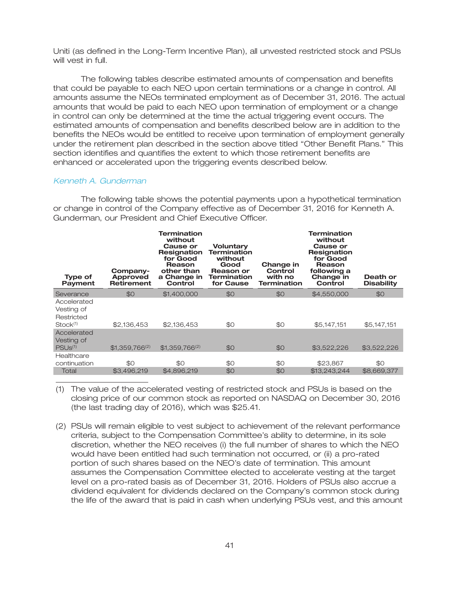Uniti (as defined in the Long-Term Incentive Plan), all unvested restricted stock and PSUs will vest in full.

The following tables describe estimated amounts of compensation and benefits that could be payable to each NEO upon certain terminations or a change in control. All amounts assume the NEOs terminated employment as of December 31, 2016. The actual amounts that would be paid to each NEO upon termination of employment or a change in control can only be determined at the time the actual triggering event occurs. The estimated amounts of compensation and benefits described below are in addition to the benefits the NEOs would be entitled to receive upon termination of employment generally under the retirement plan described in the section above titled ''Other Benefit Plans.'' This section identifies and quantifies the extent to which those retirement benefits are enhanced or accelerated upon the triggering events described below.

## *Kenneth A. Gunderman*

The following table shows the potential payments upon a hypothetical termination or change in control of the Company effective as of December 31, 2016 for Kenneth A. Gunderman, our President and Chief Executive Officer.

| <b>Type of</b><br><b>Payment</b>                                | Company-<br><b>Approved</b><br><b>Retirement</b> | Termination<br>without<br><b>Cause or</b><br>Resignation<br>for Good<br>Reason<br>other than<br>a Change in<br>Control | Voluntary<br><b>Termination</b><br>without<br>Good<br>Reason or<br>Termination<br>for Cause | Change in<br>Control<br>with no<br>Termination | <b>Termination</b><br>without<br><b>Cause or</b><br><b>Resignation</b><br>for Good<br>Reason<br>following a<br>Change in<br>Control | Death or<br><b>Disability</b> |
|-----------------------------------------------------------------|--------------------------------------------------|------------------------------------------------------------------------------------------------------------------------|---------------------------------------------------------------------------------------------|------------------------------------------------|-------------------------------------------------------------------------------------------------------------------------------------|-------------------------------|
| Severance                                                       | \$0                                              | \$1,400,000                                                                                                            | \$0                                                                                         | \$0                                            | \$4,550,000                                                                                                                         | \$0                           |
| Accelerated<br>Vesting of<br>Restricted<br>Stock <sup>(1)</sup> | \$2,136,453                                      | \$2,136,453                                                                                                            | \$0                                                                                         | \$0                                            | \$5,147,151                                                                                                                         | \$5,147,151                   |
| Accelerated<br>Vesting of<br>PSUS <sup>(1)</sup>                | $$1,359,766^{(2)}$                               | $$1,359,766^{(2)}$                                                                                                     | \$0                                                                                         | \$0                                            | \$3,522,226                                                                                                                         | \$3,522,226                   |
| Healthcare<br>continuation                                      | \$0                                              | \$0                                                                                                                    | \$0                                                                                         | \$0                                            | \$23,867                                                                                                                            | \$0                           |
| Total                                                           | \$3,496,219                                      | \$4,896,219                                                                                                            | \$0                                                                                         | \$0                                            | \$13,243,244                                                                                                                        | \$8,669,377                   |

(1) The value of the accelerated vesting of restricted stock and PSUs is based on the closing price of our common stock as reported on NASDAQ on December 30, 2016 (the last trading day of 2016), which was \$25.41.

(2) PSUs will remain eligible to vest subject to achievement of the relevant performance criteria, subject to the Compensation Committee's ability to determine, in its sole discretion, whether the NEO receives (i) the full number of shares to which the NEO would have been entitled had such termination not occurred, or (ii) a pro-rated portion of such shares based on the NEO's date of termination. This amount assumes the Compensation Committee elected to accelerate vesting at the target level on a pro-rated basis as of December 31, 2016. Holders of PSUs also accrue a dividend equivalent for dividends declared on the Company's common stock during the life of the award that is paid in cash when underlying PSUs vest, and this amount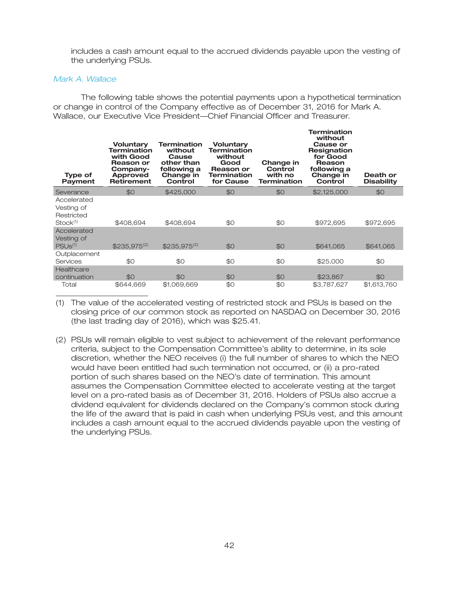includes a cash amount equal to the accrued dividends payable upon the vesting of the underlying PSUs.

# *Mark A. Wallace*

The following table shows the potential payments upon a hypothetical termination or change in control of the Company effective as of December 31, 2016 for Mark A. Wallace, our Executive Vice President—Chief Financial Officer and Treasurer.

**Termination**

| <b>Type of</b><br><b>Payment</b>                                  | <b>Voluntary</b><br>Termination<br>with Good<br>Reason or<br>Company-<br>Approved<br><b>Retirement</b> | <b>Termination</b><br>without<br>Cause<br>other than<br>following a<br>Change in<br>Control | Voluntary<br><b>Termination</b><br>without<br>Good<br><b>Reason or</b><br>Termination<br>for Cause | Change in<br>Control<br>with no<br><b>Termination</b> | <u>ieriiliiduon</u><br>without<br>Cause or<br><b>Resignation</b><br>for Good<br>Reason<br>following a<br>Change in<br>Control | Death or<br><b>Disability</b> |
|-------------------------------------------------------------------|--------------------------------------------------------------------------------------------------------|---------------------------------------------------------------------------------------------|----------------------------------------------------------------------------------------------------|-------------------------------------------------------|-------------------------------------------------------------------------------------------------------------------------------|-------------------------------|
| Severance                                                         | \$0                                                                                                    | \$425,000                                                                                   | \$0                                                                                                | \$0                                                   | \$2,125,000                                                                                                                   | \$0                           |
| Accelerated<br>Vesting of<br>Restricted<br>$Stock$ <sup>(1)</sup> | \$408.694                                                                                              | \$408.694                                                                                   | \$0                                                                                                | \$0                                                   | \$972,695                                                                                                                     | \$972,695                     |
| Accelerated<br>Vesting of<br>PSUS <sup>(1)</sup>                  | $$235,975^{(2)}$                                                                                       | $$235.975^{(2)}$                                                                            | \$0                                                                                                | \$0                                                   | \$641,065                                                                                                                     | \$641,065                     |
| Outplacement<br>Services                                          | \$0                                                                                                    | \$0                                                                                         | \$0                                                                                                | \$0                                                   | \$25,000                                                                                                                      | \$0                           |
| Healthcare<br>continuation                                        | \$0                                                                                                    | \$0                                                                                         | \$0                                                                                                | \$0                                                   | \$23,867                                                                                                                      | \$0                           |
| Total                                                             | \$644,669                                                                                              | \$1,069,669                                                                                 | \$0                                                                                                | \$0                                                   | \$3,787,627                                                                                                                   | \$1,613,760                   |

(1) The value of the accelerated vesting of restricted stock and PSUs is based on the closing price of our common stock as reported on NASDAQ on December 30, 2016 (the last trading day of 2016), which was \$25.41.

(2) PSUs will remain eligible to vest subject to achievement of the relevant performance criteria, subject to the Compensation Committee's ability to determine, in its sole discretion, whether the NEO receives (i) the full number of shares to which the NEO would have been entitled had such termination not occurred, or (ii) a pro-rated portion of such shares based on the NEO's date of termination. This amount assumes the Compensation Committee elected to accelerate vesting at the target level on a pro-rated basis as of December 31, 2016. Holders of PSUs also accrue a dividend equivalent for dividends declared on the Company's common stock during the life of the award that is paid in cash when underlying PSUs vest, and this amount includes a cash amount equal to the accrued dividends payable upon the vesting of the underlying PSUs.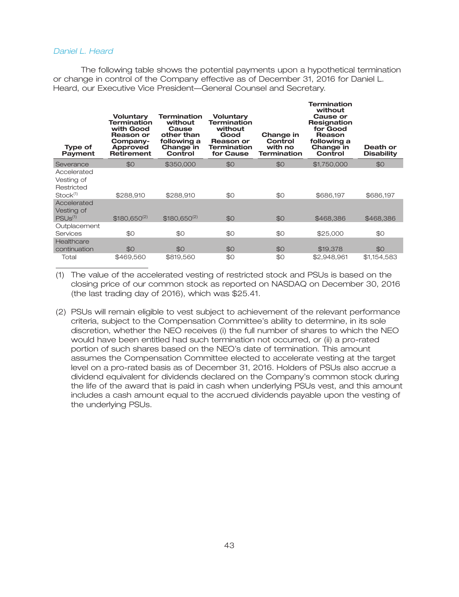# *Daniel L. Heard*

The following table shows the potential payments upon a hypothetical termination or change in control of the Company effective as of December 31, 2016 for Daniel L. Heard, our Executive Vice President—General Counsel and Secretary.

| <b>Type of</b><br><b>Payment</b>                                  | <b>Voluntary</b><br><b>Termination</b><br>with Good<br>Reason or<br>Company-<br>Approved<br><b>Retirement</b> | <b>Termination</b><br>without<br>Cause<br>other than<br>following a<br>Change in<br>Control | <b>Voluntary</b><br><b>Termination</b><br>without<br>Good<br>Reason or<br><b>Termination</b><br>for Cause | Change in<br>Control<br>with no<br><b>Termination</b> | <b>Termination</b><br>without<br>Cause or<br><b>Resignation</b><br>for Good<br>Reason<br>following a<br>Change in<br>Control | Death or<br><b>Disability</b> |
|-------------------------------------------------------------------|---------------------------------------------------------------------------------------------------------------|---------------------------------------------------------------------------------------------|-----------------------------------------------------------------------------------------------------------|-------------------------------------------------------|------------------------------------------------------------------------------------------------------------------------------|-------------------------------|
| Severance                                                         | \$0                                                                                                           | \$350,000                                                                                   | \$0                                                                                                       | \$0                                                   | \$1,750,000                                                                                                                  | \$0                           |
| Accelerated<br>Vesting of<br>Restricted<br>$Stock$ <sup>(1)</sup> | \$288,910                                                                                                     | \$288,910                                                                                   | \$0                                                                                                       | \$0                                                   | \$686,197                                                                                                                    | \$686,197                     |
| Accelerated<br>Vesting of<br>PSUS <sup>(1)</sup>                  | $$180,650^{(2)}$                                                                                              | $$180.650^{(2)}$                                                                            | \$0                                                                                                       | \$0                                                   | \$468,386                                                                                                                    | \$468,386                     |
| Outplacement<br>Services                                          | \$0                                                                                                           | \$0                                                                                         | \$0                                                                                                       | \$0                                                   | \$25,000                                                                                                                     | \$0                           |
| Healthcare<br>continuation                                        | \$0                                                                                                           | \$0                                                                                         | \$0                                                                                                       | \$0                                                   | \$19,378                                                                                                                     | \$0                           |
| Total                                                             | \$469,560                                                                                                     | \$819,560                                                                                   | \$0                                                                                                       | \$0                                                   | \$2,948,961                                                                                                                  | \$1,154,583                   |

(1) The value of the accelerated vesting of restricted stock and PSUs is based on the closing price of our common stock as reported on NASDAQ on December 30, 2016 (the last trading day of 2016), which was \$25.41.

(2) PSUs will remain eligible to vest subject to achievement of the relevant performance criteria, subject to the Compensation Committee's ability to determine, in its sole discretion, whether the NEO receives (i) the full number of shares to which the NEO would have been entitled had such termination not occurred, or (ii) a pro-rated portion of such shares based on the NEO's date of termination. This amount assumes the Compensation Committee elected to accelerate vesting at the target level on a pro-rated basis as of December 31, 2016. Holders of PSUs also accrue a dividend equivalent for dividends declared on the Company's common stock during the life of the award that is paid in cash when underlying PSUs vest, and this amount includes a cash amount equal to the accrued dividends payable upon the vesting of the underlying PSUs.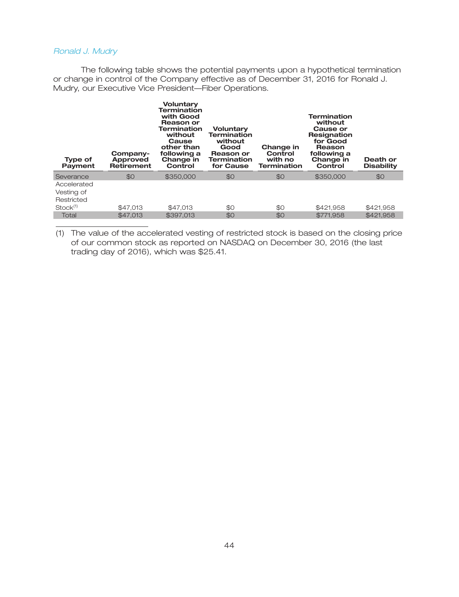# *Ronald J. Mudry*

The following table shows the potential payments upon a hypothetical termination or change in control of the Company effective as of December 31, 2016 for Ronald J. Mudry, our Executive Vice President—Fiber Operations.

| <b>Type of</b><br><b>Payment</b>                                | Company-<br><b>Approved</b><br><b>Retirement</b> | <b>Voluntary</b><br><b>Termination</b><br>with Good<br>Reason or<br><b>Termination</b><br>without<br>Cause<br>other than<br>following a<br>Change in<br>Control | <b>Voluntary</b><br>Termination<br>without<br>Good<br>Reason or<br><b>Termination</b><br>for Cause | Change in<br>Control<br>with no<br><b>Termination</b> | <b>Termination</b><br>without<br>Cause or<br><b>Resignation</b><br>for Good<br>Reason<br>following a<br>Change in<br>Control | Death or<br><b>Disability</b> |
|-----------------------------------------------------------------|--------------------------------------------------|-----------------------------------------------------------------------------------------------------------------------------------------------------------------|----------------------------------------------------------------------------------------------------|-------------------------------------------------------|------------------------------------------------------------------------------------------------------------------------------|-------------------------------|
| Severance                                                       | \$0                                              | \$350,000                                                                                                                                                       | \$0                                                                                                | \$0                                                   | \$350,000                                                                                                                    | \$0                           |
| Accelerated<br>Vesting of<br>Restricted<br>Stock <sup>(1)</sup> | \$47,013                                         | \$47,013                                                                                                                                                        | \$0                                                                                                | \$0                                                   | \$421,958                                                                                                                    | \$421,958                     |
| Total                                                           | \$47,013                                         | \$397,013                                                                                                                                                       | \$0                                                                                                | \$0                                                   | \$771,958                                                                                                                    | \$421,958                     |

(1) The value of the accelerated vesting of restricted stock is based on the closing price of our common stock as reported on NASDAQ on December 30, 2016 (the last trading day of 2016), which was \$25.41.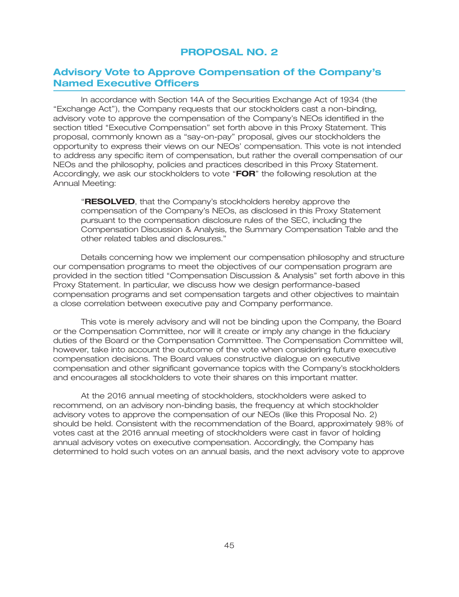# **PROPOSAL NO. 2**

# **Advisory Vote to Approve Compensation of the Company's Named Executive Officers**

In accordance with Section 14A of the Securities Exchange Act of 1934 (the ''Exchange Act''), the Company requests that our stockholders cast a non-binding, advisory vote to approve the compensation of the Company's NEOs identified in the section titled "Executive Compensation" set forth above in this Proxy Statement. This proposal, commonly known as a ''say-on-pay'' proposal, gives our stockholders the opportunity to express their views on our NEOs' compensation. This vote is not intended to address any specific item of compensation, but rather the overall compensation of our NEOs and the philosophy, policies and practices described in this Proxy Statement. Accordingly, we ask our stockholders to vote ''**FOR**'' the following resolution at the Annual Meeting:

''**RESOLVED**, that the Company's stockholders hereby approve the compensation of the Company's NEOs, as disclosed in this Proxy Statement pursuant to the compensation disclosure rules of the SEC, including the Compensation Discussion & Analysis, the Summary Compensation Table and the other related tables and disclosures.''

Details concerning how we implement our compensation philosophy and structure our compensation programs to meet the objectives of our compensation program are provided in the section titled ''Compensation Discussion & Analysis'' set forth above in this Proxy Statement. In particular, we discuss how we design performance-based compensation programs and set compensation targets and other objectives to maintain a close correlation between executive pay and Company performance.

This vote is merely advisory and will not be binding upon the Company, the Board or the Compensation Committee, nor will it create or imply any change in the fiduciary duties of the Board or the Compensation Committee. The Compensation Committee will, however, take into account the outcome of the vote when considering future executive compensation decisions. The Board values constructive dialogue on executive compensation and other significant governance topics with the Company's stockholders and encourages all stockholders to vote their shares on this important matter.

At the 2016 annual meeting of stockholders, stockholders were asked to recommend, on an advisory non-binding basis, the frequency at which stockholder advisory votes to approve the compensation of our NEOs (like this Proposal No. 2) should be held. Consistent with the recommendation of the Board, approximately 98% of votes cast at the 2016 annual meeting of stockholders were cast in favor of holding annual advisory votes on executive compensation. Accordingly, the Company has determined to hold such votes on an annual basis, and the next advisory vote to approve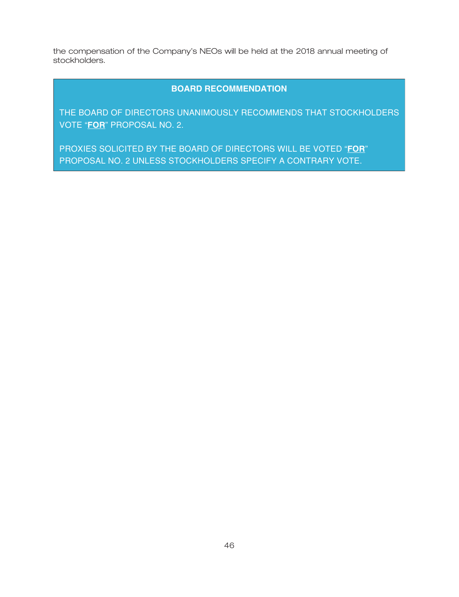the compensation of the Company's NEOs will be held at the 2018 annual meeting of stockholders.

# **BOARD RECOMMENDATION**

THE BOARD OF DIRECTORS UNANIMOUSLY RECOMMENDS THAT STOCKHOLDERS VOTE "**FOR**" PROPOSAL NO. 2.

PROXIES SOLICITED BY THE BOARD OF DIRECTORS WILL BE VOTED "**FOR**" PROPOSAL NO. 2 UNLESS STOCKHOLDERS SPECIFY A CONTRARY VOTE.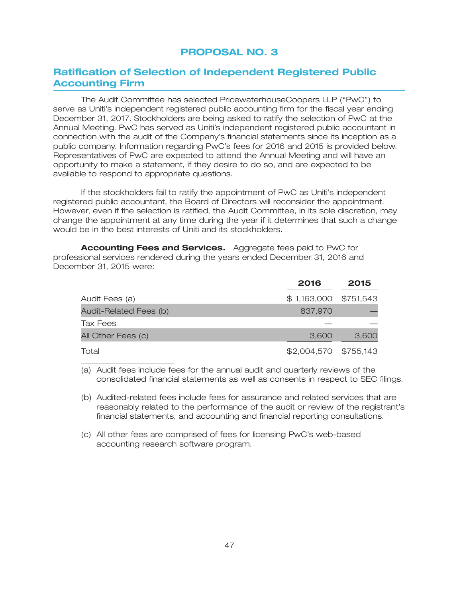# **PROPOSAL NO. 3**

# **Ratification of Selection of Independent Registered Public Accounting Firm**

The Audit Committee has selected PricewaterhouseCoopers LLP (''PwC'') to serve as Uniti's independent registered public accounting firm for the fiscal year ending December 31, 2017. Stockholders are being asked to ratify the selection of PwC at the Annual Meeting. PwC has served as Uniti's independent registered public accountant in connection with the audit of the Company's financial statements since its inception as a public company. Information regarding PwC's fees for 2016 and 2015 is provided below. Representatives of PwC are expected to attend the Annual Meeting and will have an opportunity to make a statement, if they desire to do so, and are expected to be available to respond to appropriate questions.

If the stockholders fail to ratify the appointment of PwC as Uniti's independent registered public accountant, the Board of Directors will reconsider the appointment. However, even if the selection is ratified, the Audit Committee, in its sole discretion, may change the appointment at any time during the year if it determines that such a change would be in the best interests of Uniti and its stockholders.

**Accounting Fees and Services.** Aggregate fees paid to PwC for professional services rendered during the years ended December 31, 2016 and December 31, 2015 were:

|                        | 2016                  | 2015  |
|------------------------|-----------------------|-------|
| Audit Fees (a)         | \$1,163,000 \$751,543 |       |
| Audit-Related Fees (b) | 837,970               |       |
| Tax Fees               |                       |       |
| All Other Fees (c)     | 3,600                 | 3,600 |
| Total                  | \$2,004,570 \$755,143 |       |

(a) Audit fees include fees for the annual audit and quarterly reviews of the consolidated financial statements as well as consents in respect to SEC filings.

(b) Audited-related fees include fees for assurance and related services that are reasonably related to the performance of the audit or review of the registrant's financial statements, and accounting and financial reporting consultations.

(c) All other fees are comprised of fees for licensing PwC's web-based accounting research software program.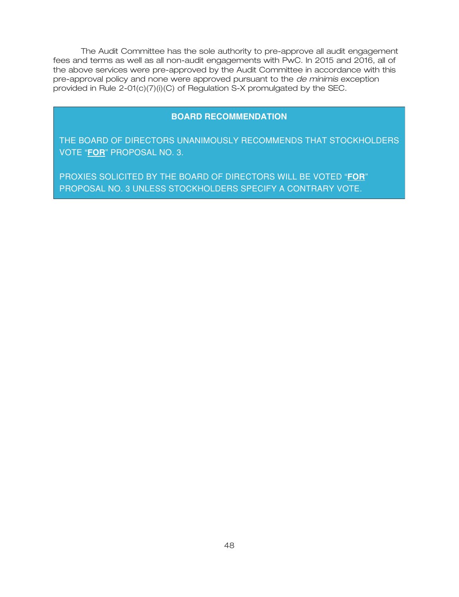The Audit Committee has the sole authority to pre-approve all audit engagement fees and terms as well as all non-audit engagements with PwC. In 2015 and 2016, all of the above services were pre-approved by the Audit Committee in accordance with this pre-approval policy and none were approved pursuant to the *de minimis* exception provided in Rule 2-01(c)(7)(i)(C) of Regulation S-X promulgated by the SEC.

# **BOARD RECOMMENDATION**

THE BOARD OF DIRECTORS UNANIMOUSLY RECOMMENDS THAT STOCKHOLDERS VOTE "**FOR**" PROPOSAL NO. 3.

PROXIES SOLICITED BY THE BOARD OF DIRECTORS WILL BE VOTED "**FOR**" PROPOSAL NO. 3 UNLESS STOCKHOLDERS SPECIFY A CONTRARY VOTE.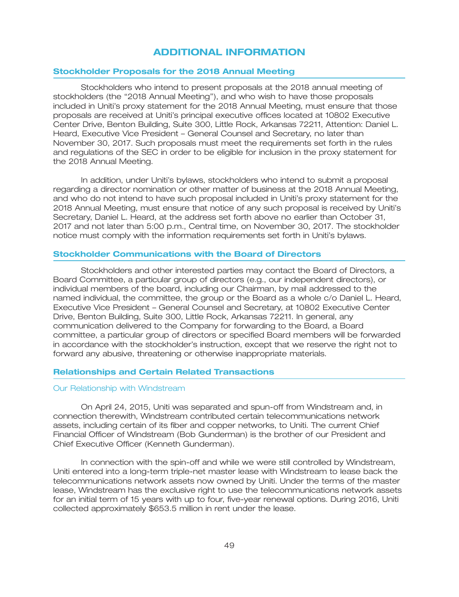# **ADDITIONAL INFORMATION**

## **Stockholder Proposals for the 2018 Annual Meeting**

Stockholders who intend to present proposals at the 2018 annual meeting of stockholders (the "2018 Annual Meeting"), and who wish to have those proposals included in Uniti's proxy statement for the 2018 Annual Meeting, must ensure that those proposals are received at Uniti's principal executive offices located at 10802 Executive Center Drive, Benton Building, Suite 300, Little Rock, Arkansas 72211, Attention: Daniel L. Heard, Executive Vice President – General Counsel and Secretary, no later than November 30, 2017. Such proposals must meet the requirements set forth in the rules and regulations of the SEC in order to be eligible for inclusion in the proxy statement for the 2018 Annual Meeting.

In addition, under Uniti's bylaws, stockholders who intend to submit a proposal regarding a director nomination or other matter of business at the 2018 Annual Meeting, and who do not intend to have such proposal included in Uniti's proxy statement for the 2018 Annual Meeting, must ensure that notice of any such proposal is received by Uniti's Secretary, Daniel L. Heard, at the address set forth above no earlier than October 31, 2017 and not later than 5:00 p.m., Central time, on November 30, 2017. The stockholder notice must comply with the information requirements set forth in Uniti's bylaws.

#### **Stockholder Communications with the Board of Directors**

Stockholders and other interested parties may contact the Board of Directors, a Board Committee, a particular group of directors (e.g., our independent directors), or individual members of the board, including our Chairman, by mail addressed to the named individual, the committee, the group or the Board as a whole c/o Daniel L. Heard, Executive Vice President – General Counsel and Secretary, at 10802 Executive Center Drive, Benton Building, Suite 300, Little Rock, Arkansas 72211. In general, any communication delivered to the Company for forwarding to the Board, a Board committee, a particular group of directors or specified Board members will be forwarded in accordance with the stockholder's instruction, except that we reserve the right not to forward any abusive, threatening or otherwise inappropriate materials.

#### **Relationships and Certain Related Transactions**

#### Our Relationship with Windstream

On April 24, 2015, Uniti was separated and spun-off from Windstream and, in connection therewith, Windstream contributed certain telecommunications network assets, including certain of its fiber and copper networks, to Uniti. The current Chief Financial Officer of Windstream (Bob Gunderman) is the brother of our President and Chief Executive Officer (Kenneth Gunderman).

In connection with the spin-off and while we were still controlled by Windstream, Uniti entered into a long-term triple-net master lease with Windstream to lease back the telecommunications network assets now owned by Uniti. Under the terms of the master lease, Windstream has the exclusive right to use the telecommunications network assets for an initial term of 15 years with up to four, five-year renewal options. During 2016, Uniti collected approximately \$653.5 million in rent under the lease.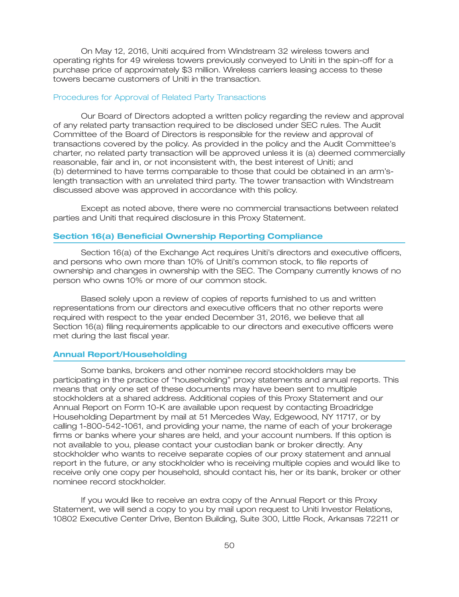On May 12, 2016, Uniti acquired from Windstream 32 wireless towers and operating rights for 49 wireless towers previously conveyed to Uniti in the spin-off for a purchase price of approximately \$3 million. Wireless carriers leasing access to these towers became customers of Uniti in the transaction.

#### Procedures for Approval of Related Party Transactions

Our Board of Directors adopted a written policy regarding the review and approval of any related party transaction required to be disclosed under SEC rules. The Audit Committee of the Board of Directors is responsible for the review and approval of transactions covered by the policy. As provided in the policy and the Audit Committee's charter, no related party transaction will be approved unless it is (a) deemed commercially reasonable, fair and in, or not inconsistent with, the best interest of Uniti; and (b) determined to have terms comparable to those that could be obtained in an arm'slength transaction with an unrelated third party. The tower transaction with Windstream discussed above was approved in accordance with this policy.

Except as noted above, there were no commercial transactions between related parties and Uniti that required disclosure in this Proxy Statement.

## **Section 16(a) Beneficial Ownership Reporting Compliance**

Section 16(a) of the Exchange Act requires Uniti's directors and executive officers, and persons who own more than 10% of Uniti's common stock, to file reports of ownership and changes in ownership with the SEC. The Company currently knows of no person who owns 10% or more of our common stock.

Based solely upon a review of copies of reports furnished to us and written representations from our directors and executive officers that no other reports were required with respect to the year ended December 31, 2016, we believe that all Section 16(a) filing requirements applicable to our directors and executive officers were met during the last fiscal year.

#### **Annual Report/Householding**

Some banks, brokers and other nominee record stockholders may be participating in the practice of ''householding'' proxy statements and annual reports. This means that only one set of these documents may have been sent to multiple stockholders at a shared address. Additional copies of this Proxy Statement and our Annual Report on Form 10-K are available upon request by contacting Broadridge Householding Department by mail at 51 Mercedes Way, Edgewood, NY 11717, or by calling 1-800-542-1061, and providing your name, the name of each of your brokerage firms or banks where your shares are held, and your account numbers. If this option is not available to you, please contact your custodian bank or broker directly. Any stockholder who wants to receive separate copies of our proxy statement and annual report in the future, or any stockholder who is receiving multiple copies and would like to receive only one copy per household, should contact his, her or its bank, broker or other nominee record stockholder.

If you would like to receive an extra copy of the Annual Report or this Proxy Statement, we will send a copy to you by mail upon request to Uniti Investor Relations, 10802 Executive Center Drive, Benton Building, Suite 300, Little Rock, Arkansas 72211 or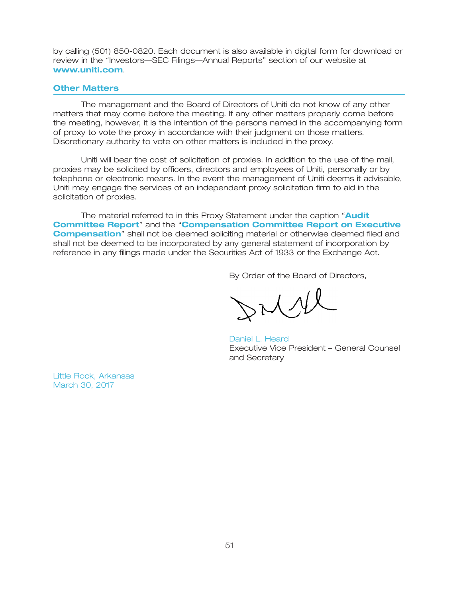by calling (501) 850-0820. Each document is also available in digital form for download or review in the ''Investors—SEC Filings—Annual Reports'' section of our website at . **www.uniti.com**

## **Other Matters**

The management and the Board of Directors of Uniti do not know of any other matters that may come before the meeting. If any other matters properly come before the meeting, however, it is the intention of the persons named in the accompanying form of proxy to vote the proxy in accordance with their judgment on those matters. Discretionary authority to vote on other matters is included in the proxy.

Uniti will bear the cost of solicitation of proxies. In addition to the use of the mail, proxies may be solicited by officers, directors and employees of Uniti, personally or by telephone or electronic means. In the event the management of Uniti deems it advisable, Uniti may engage the services of an independent proxy solicitation firm to aid in the solicitation of proxies.

The material referred to in this Proxy Statement under the caption '' **Audit Committee Report"** and the "**Compensation Committee Report on Executive Compensation**" shall not be deemed soliciting material or otherwise deemed filed and shall not be deemed to be incorporated by any general statement of incorporation by reference in any filings made under the Securities Act of 1933 or the Exchange Act.

By Order of the Board of Directors,

 $20$ 

Executive Vice President – General Counsel and Secretary Daniel L. Heard

Little Rock, Arkansas March 30, 2017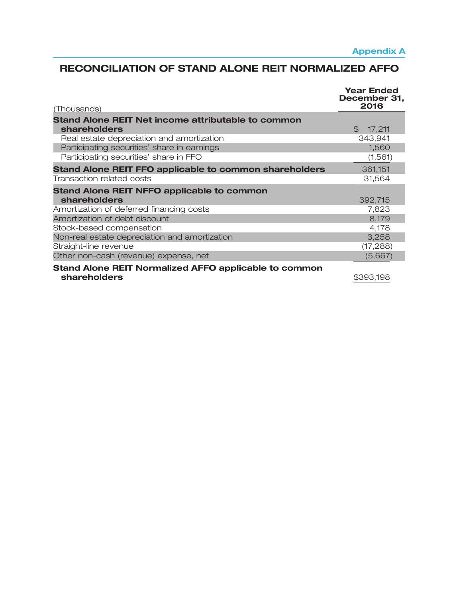# **RECONCILIATION OF STAND ALONE REIT NORMALIZED AFFO**

|                                                               | <b>Year Ended</b><br>December 31,<br>2016 |
|---------------------------------------------------------------|-------------------------------------------|
| (Thousands)                                                   |                                           |
| <b>Stand Alone REIT Net income attributable to common</b>     |                                           |
| <b>shareholders</b>                                           | $\mathbb{S}$<br>17,211                    |
| Real estate depreciation and amortization                     | 343,941                                   |
| Participating securities' share in earnings                   | 1,560                                     |
| Participating securities' share in FFO                        | (1,561)                                   |
| <b>Stand Alone REIT FFO applicable to common shareholders</b> | 361,151                                   |
| Transaction related costs                                     | 31,564                                    |
| <b>Stand Alone REIT NFFO applicable to common</b>             |                                           |
| shareholders                                                  | 392,715                                   |
| Amortization of deferred financing costs                      | 7,823                                     |
| Amortization of debt discount                                 | 8,179                                     |
| Stock-based compensation                                      | 4,178                                     |
| Non-real estate depreciation and amortization                 | 3,258                                     |
| Straight-line revenue                                         | (17, 288)                                 |
| Other non-cash (revenue) expense, net                         | (5,667)                                   |
| Stand Alone REIT Normalized AFFO applicable to common         |                                           |
| shareholders                                                  | \$393,198                                 |